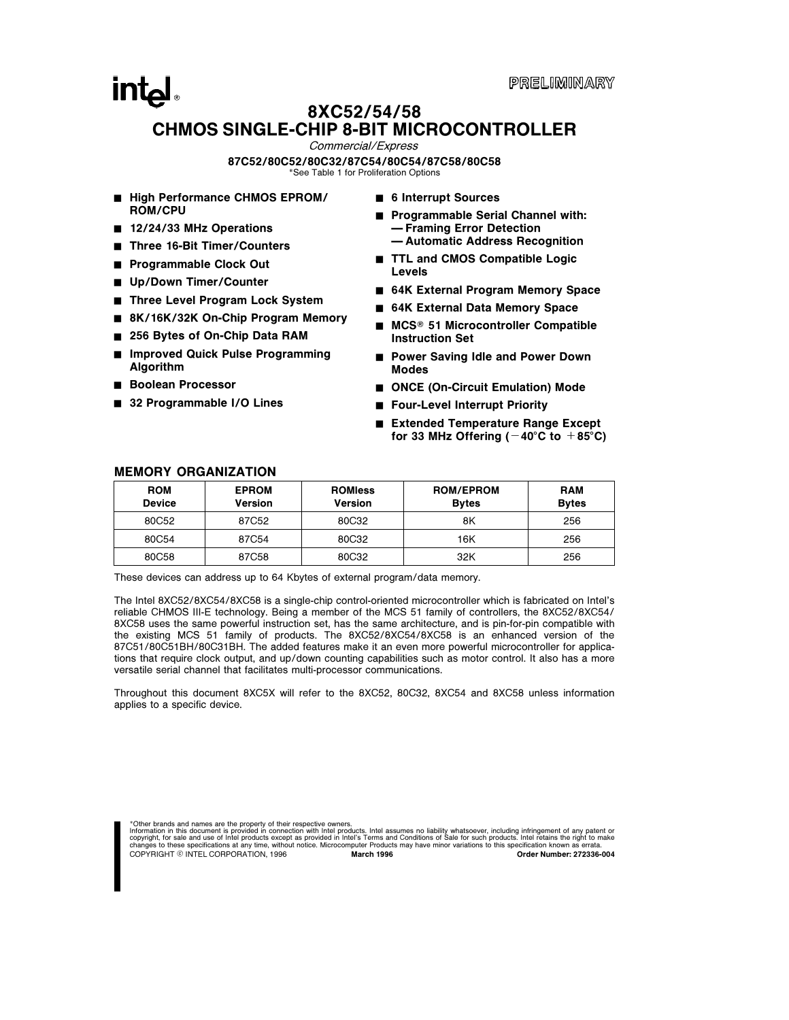## **intal** 8XC52/54/58 CHMOS SINGLE-CHIP 8-BIT MICROCONTROLLER

Commercial/Express

#### 87C52/80C52/80C32/87C54/80C54/87C58/80C58

\*See Table 1 for Proliferation Options

- High Performance CHMOS EPROM/ ROM/CPU
- 12/24/33 MHz Operations
- Three 16-Bit Timer/Counters
- Programmable Clock Out
- Up/Down Timer/Counter
- Three Level Program Lock System
- 8K/16K/32K On-Chip Program Memory
- 256 Bytes of On-Chip Data RAM
- Improved Quick Pulse Programming Algorithm
- **Boolean Processor**
- 32 Programmable I/O Lines
- 6 Interrupt Sources
- Programmable Serial Channel with: Ð Framing Error Detection
	- Ð Automatic Address Recognition
- TTL and CMOS Compatible Logic Levels
- 64K External Program Memory Space
- 64K External Data Memory Space
- $MCS<sup>®</sup>$  51 Microcontroller Compatible Instruction Set
- Power Saving Idle and Power Down Modes
- ONCE (On-Circuit Emulation) Mode
- Four-Level Interrupt Priority
- Extended Temperature Range Except for 33 MHz Offering ( $-40^{\circ}$ C to  $+85^{\circ}$ C)

| <b>ROM</b><br><b>Device</b> | <b>EPROM</b><br>Version | <b>ROMIess</b><br><b>Version</b> | <b>ROM/EPROM</b><br><b>Bytes</b> | <b>RAM</b><br><b>Bytes</b> |
|-----------------------------|-------------------------|----------------------------------|----------------------------------|----------------------------|
| 80C52                       | 87C52                   | 80C32                            | 8K                               | 256                        |
| 80C54                       | 87C54                   | 80C32                            | 16K                              | 256                        |
| 80C58                       | 87C58                   | 80C32                            | 32K                              | 256                        |

#### MEMORY ORGANIZATION

These devices can address up to 64 Kbytes of external program/data memory.

The Intel 8XC52/8XC54/8XC58 is a single-chip control-oriented microcontroller which is fabricated on Intel's reliable CHMOS III-E technology. Being a member of the MCS 51 family of controllers, the 8XC52/8XC54/ 8XC58 uses the same powerful instruction set, has the same architecture, and is pin-for-pin compatible with the existing MCS 51 family of products. The 8XC52/8XC54/8XC58 is an enhanced version of the 87C51/80C51BH/80C31BH. The added features make it an even more powerful microcontroller for applications that require clock output, and up/down counting capabilities such as motor control. It also has a more versatile serial channel that facilitates multi-processor communications.

Throughout this document 8XC5X will refer to the 8XC52, 80C32, 8XC54 and 8XC58 unless information applies to a specific device.

\*Other brands and names are the property of their respective owners.

Information in this document is provided in connection with Intel products. Intel assumes no liability whatsoever, including infringement of any patent or<br>copyright, for sale and use of Intel products except as provided in changes to these specifications at any time, without notice. Microcomputer Products may have minor variations to this specification known as errata.<br>COPYRIGHT © INTEL CORPORATION. 1996 March 1996 March 1996 COPYRIGHT © INT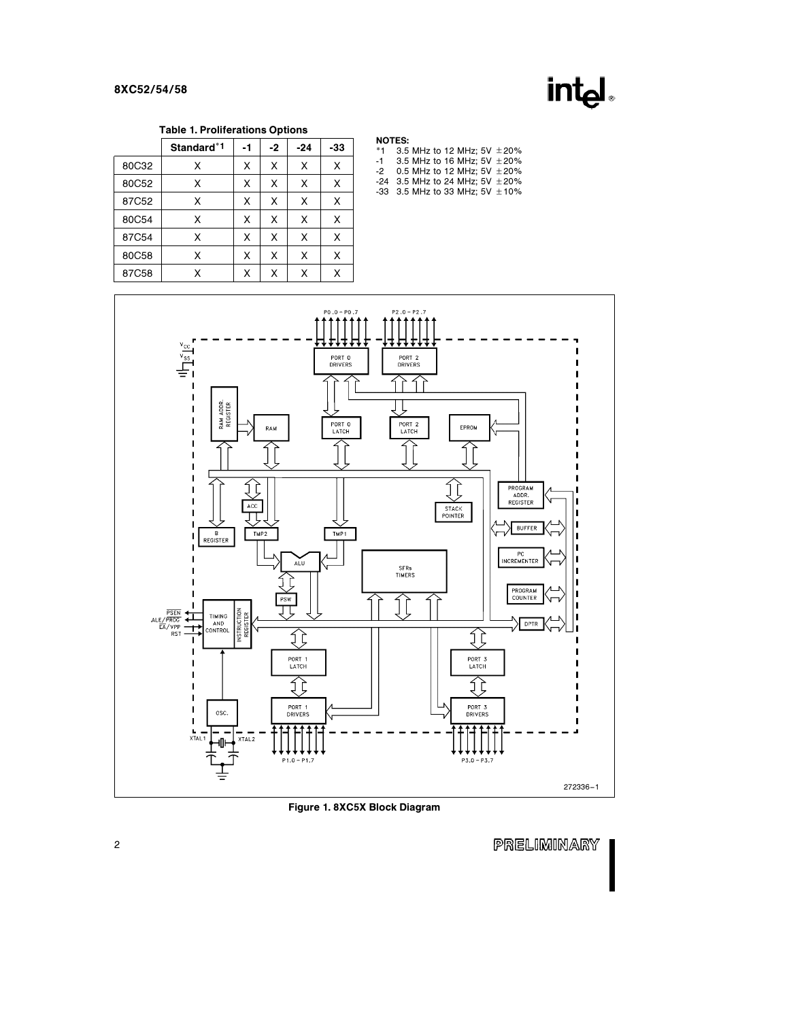## int<sub>el</sub>

Table 1. Proliferations Options

|       | Standard <sup>*1</sup> | -1 | -2 | $-24$ | -33 |
|-------|------------------------|----|----|-------|-----|
| 80C32 | X                      | X  | X  | X     | X   |
| 80C52 | X                      | X  | X  | X     | X   |
| 87C52 | X                      | X  | X  | X     | X   |
| 80C54 | X                      | x  | X  | X     | X   |
| 87C54 | X                      | X  | X  | X     | X   |
| 80C58 | X                      | X  | X  | X     | X   |
| 87C58 | x                      | x  | x  | X     | X   |

#### NOTES:

| *1   | 3.5 MHz to 12 MHz: 5V $\pm$ 20%     |
|------|-------------------------------------|
| $-1$ | 3.5 MHz to 16 MHz: 5V $\pm$ 20%     |
| -2   | 0.5 MHz to 12 MHz: 5V $\pm$ 20%     |
|      | -24 3.5 MHz to 24 MHz: 5V $\pm$ 20% |
|      | -33 3.5 MHz to 33 MHz: 5V $\pm$ 10% |
|      |                                     |



Figure 1. 8XC5X Block Diagram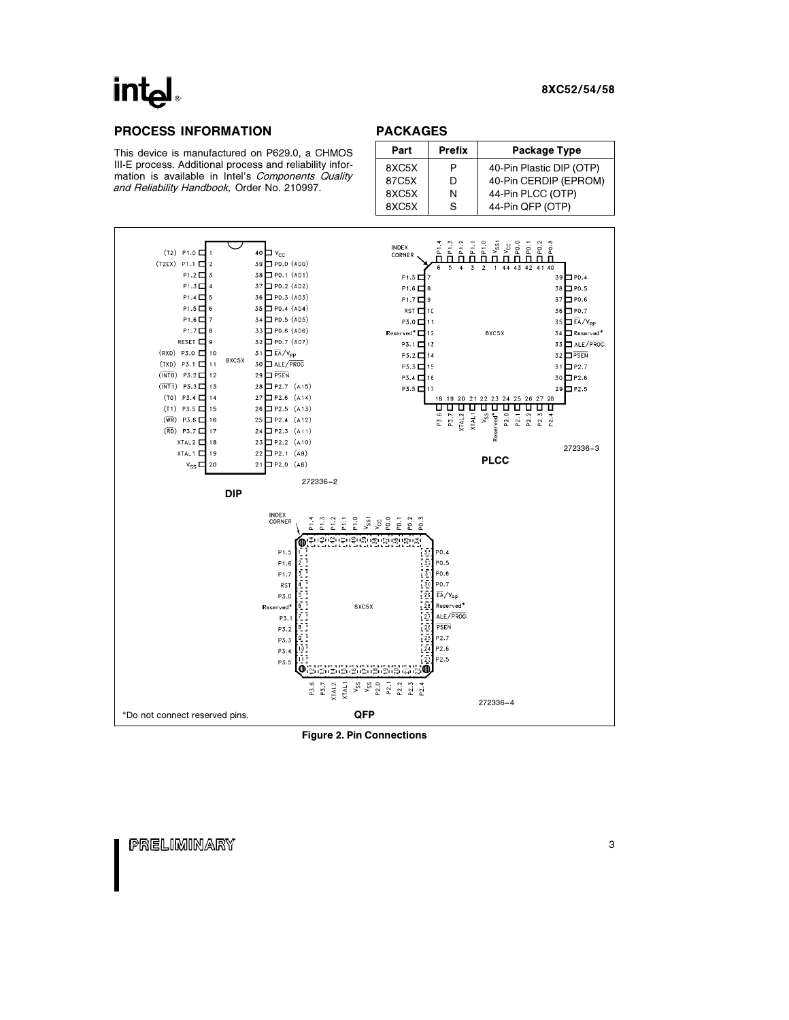

### PROCESS INFORMATION

This device is manufactured on P629.0, a CHMOS III-E process. Additional process and reliability information is available in Intel's Components Quality and Reliability Handbook, Order No. 210997.

#### PACKAGES

| Part  | <b>Prefix</b> | Package Type             |
|-------|---------------|--------------------------|
| 8XC5X | Р             | 40-Pin Plastic DIP (OTP) |
| 87C5X | D             | 40-Pin CERDIP (EPROM)    |
| 8XC5X | N             | 44-Pin PLCC (OTP)        |
| 8XC5X | S             | 44-Pin QFP (OTP)         |



Figure 2. Pin Connections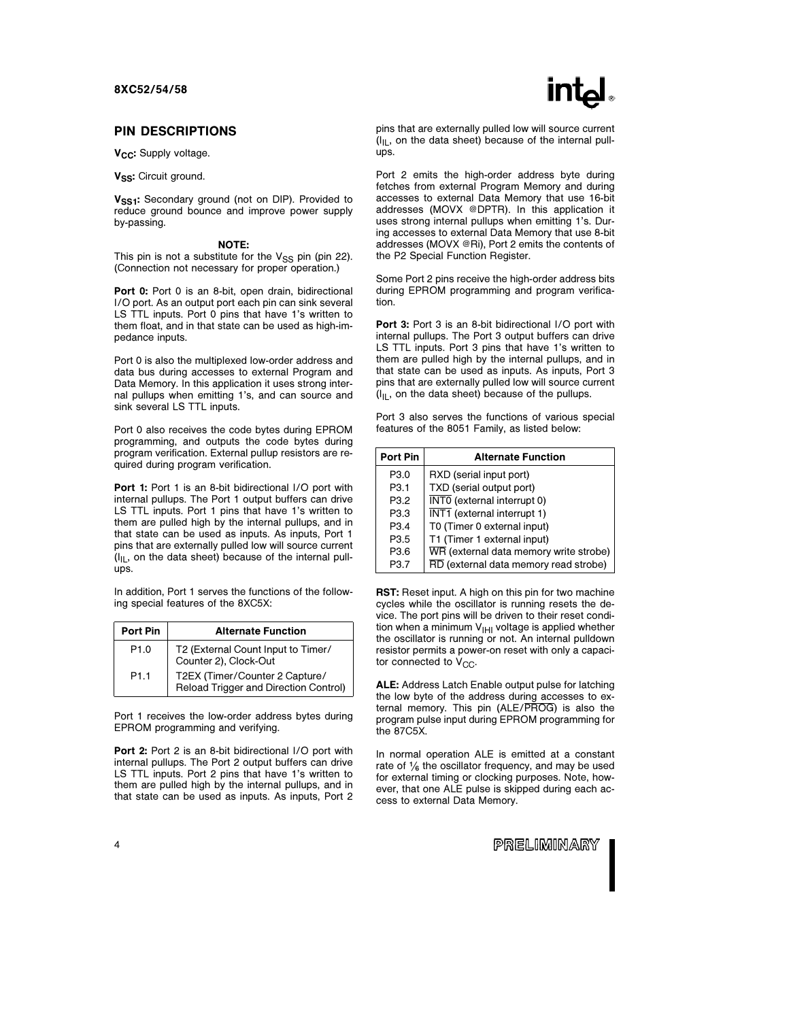#### PIN DESCRIPTIONS

V<sub>CC</sub>: Supply voltage.

V<sub>SS</sub>: Circuit ground.

V<sub>SS1</sub>: Secondary ground (not on DIP). Provided to reduce ground bounce and improve power supply by-passing.

#### NOTE:

This pin is not a substitute for the  $V_{SS}$  pin (pin 22). (Connection not necessary for proper operation.)

Port 0: Port 0 is an 8-bit, open drain, bidirectional I/O port. As an output port each pin can sink several LS TTL inputs. Port 0 pins that have 1's written to them float, and in that state can be used as high-impedance inputs.

Port 0 is also the multiplexed low-order address and data bus during accesses to external Program and Data Memory. In this application it uses strong internal pullups when emitting 1's, and can source and sink several LS TTL inputs.

Port 0 also receives the code bytes during EPROM programming, and outputs the code bytes during program verification. External pullup resistors are required during program verification.

Port 1: Port 1 is an 8-bit bidirectional I/O port with internal pullups. The Port 1 output buffers can drive LS TTL inputs. Port 1 pins that have 1's written to them are pulled high by the internal pullups, and in that state can be used as inputs. As inputs, Port 1 pins that are externally pulled low will source current  $(I<sub>II</sub>$ , on the data sheet) because of the internal pullups.

In addition, Port 1 serves the functions of the following special features of the 8XC5X:

| Port Pin         | <b>Alternate Function</b>                                               |
|------------------|-------------------------------------------------------------------------|
| P <sub>1.0</sub> | T2 (External Count Input to Timer/<br>Counter 2), Clock-Out             |
| P <sub>1.1</sub> | T2EX (Timer/Counter 2 Capture/<br>Reload Trigger and Direction Control) |

Port 1 receives the low-order address bytes during EPROM programming and verifying.

Port 2: Port 2 is an 8-bit bidirectional I/O port with internal pullups. The Port 2 output buffers can drive LS TTL inputs. Port 2 pins that have 1's written to them are pulled high by the internal pullups, and in that state can be used as inputs. As inputs, Port 2 pins that are externally pulled low will source current  $I_{II}$ , on the data sheet) because of the internal pullups.

Port 2 emits the high-order address byte during fetches from external Program Memory and during accesses to external Data Memory that use 16-bit addresses (MOVX @DPTR). In this application it uses strong internal pullups when emitting 1's. During accesses to external Data Memory that use 8-bit addresses (MOVX @Ri), Port 2 emits the contents of the P2 Special Function Register.

Some Port 2 pins receive the high-order address bits during EPROM programming and program verification.

Port 3: Port 3 is an 8-bit bidirectional I/O port with internal pullups. The Port 3 output buffers can drive LS TTL inputs. Port 3 pins that have 1's written to them are pulled high by the internal pullups, and in that state can be used as inputs. As inputs, Port 3 pins that are externally pulled low will source current  $I_{II}$ , on the data sheet) because of the pullups.

Port 3 also serves the functions of various special features of the 8051 Family, as listed below:

| <b>Port Pin</b>  | <b>Alternate Function</b>                       |
|------------------|-------------------------------------------------|
| P3.0             | RXD (serial input port)                         |
| P3.1             | TXD (serial output port)                        |
| P <sub>3.2</sub> | $\overline{\text{INT0}}$ (external interrupt 0) |
| P3.3             | INT1 (external interrupt 1)                     |
| P <sub>3.4</sub> | T0 (Timer 0 external input)                     |
| P3.5             | T1 (Timer 1 external input)                     |
| P3.6             | WR (external data memory write strobe)          |
| P3.7             | RD (external data memory read strobe)           |

RST: Reset input. A high on this pin for two machine cycles while the oscillator is running resets the device. The port pins will be driven to their reset condition when a minimum  $V_{\text{H}}$  voltage is applied whether the oscillator is running or not. An internal pulldown resistor permits a power-on reset with only a capacitor connected to  $V_{CC}$ .

ALE: Address Latch Enable output pulse for latching the low byte of the address during accesses to external memory. This pin (ALE/PROG) is also the program pulse input during EPROM programming for the 87C5X.

In normal operation ALE is emitted at a constant rate of  $\frac{1}{6}$  the oscillator frequency, and may be used for external timing or clocking purposes. Note, however, that one ALE pulse is skipped during each access to external Data Memory.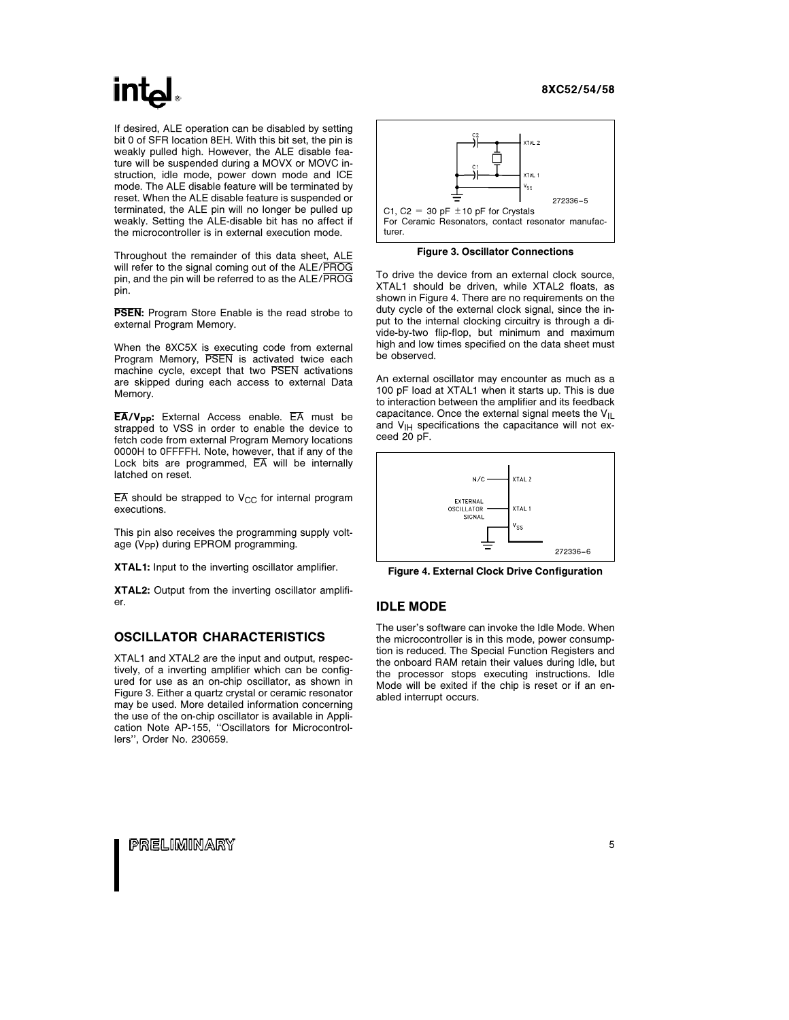## inte

If desired, ALE operation can be disabled by setting bit 0 of SFR location 8EH. With this bit set, the pin is weakly pulled high. However, the ALE disable feature will be suspended during a MOVX or MOVC instruction, idle mode, power down mode and ICE mode. The ALE disable feature will be terminated by reset. When the ALE disable feature is suspended or terminated, the ALE pin will no longer be pulled up weakly. Setting the ALE-disable bit has no affect if the microcontroller is in external execution mode.

Throughout the remainder of this data sheet, ALE will refer to the signal coming out of the ALE/PROG pin, and the pin will be referred to as the ALE/PROG pin.

**PSEN:** Program Store Enable is the read strobe to external Program Memory.

When the 8XC5X is executing code from external Program Memory, PSEN is activated twice each machine cycle, except that two PSEN activations are skipped during each access to external Data Memory.

 $\overline{EA}/V_{\text{DD}}$ : External Access enable.  $\overline{EA}$  must be strapped to VSS in order to enable the device to fetch code from external Program Memory locations 0000H to 0FFFFH. Note, however, that if any of the Lock bits are programmed,  $\overline{EA}$  will be internally latched on reset.

 $\overline{EA}$  should be strapped to V<sub>CC</sub> for internal program executions.

This pin also receives the programming supply voltage  $(V_{PP})$  during EPROM programming.

XTAL1: Input to the inverting oscillator amplifier.

XTAL2: Output from the inverting oscillator amplifier.

### OSCILLATOR CHARACTERISTICS

XTAL1 and XTAL2 are the input and output, respectively, of a inverting amplifier which can be configured for use as an on-chip oscillator, as shown in Figure 3. Either a quartz crystal or ceramic resonator may be used. More detailed information concerning the use of the on-chip oscillator is available in Application Note AP-155, ''Oscillators for Microcontrollers'', Order No. 230659.



Figure 3. Oscillator Connections

To drive the device from an external clock source, XTAL1 should be driven, while XTAL2 floats, as shown in Figure 4. There are no requirements on the duty cycle of the external clock signal, since the input to the internal clocking circuitry is through a divide-by-two flip-flop, but minimum and maximum high and low times specified on the data sheet must be observed.

An external oscillator may encounter as much as a 100 pF load at XTAL1 when it starts up. This is due to interaction between the amplifier and its feedback capacitance. Once the external signal meets the  $V_{\text{II}}$ and  $V_{\text{IH}}$  specifications the capacitance will not exceed 20 pF.



Figure 4. External Clock Drive Configuration

### IDLE MODE

The user's software can invoke the Idle Mode. When the microcontroller is in this mode, power consumption is reduced. The Special Function Registers and the onboard RAM retain their values during Idle, but the processor stops executing instructions. Idle Mode will be exited if the chip is reset or if an enabled interrupt occurs.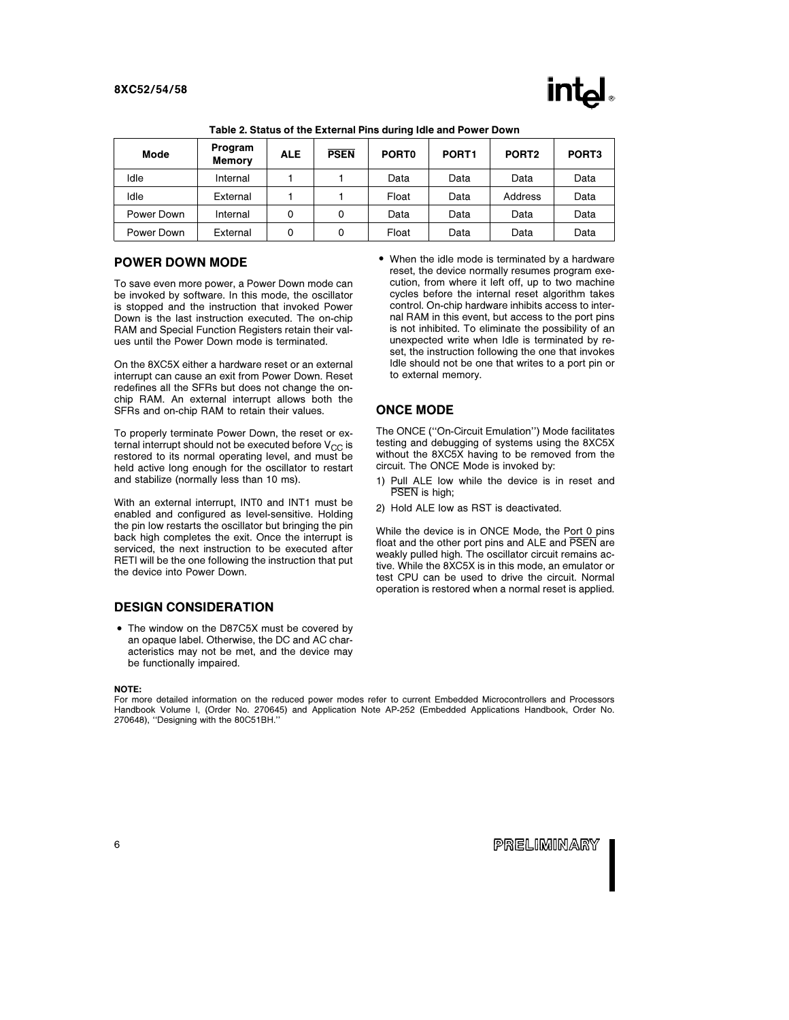| <b>Mode</b> | Program<br><b>Memory</b> | <b>ALE</b> | <b>PSEN</b> | PORT <sub>0</sub> | PORT <sub>1</sub> | PORT <sub>2</sub> | PORT <sub>3</sub> |
|-------------|--------------------------|------------|-------------|-------------------|-------------------|-------------------|-------------------|
| Idle        | Internal                 |            |             | Data              | Data              | Data              | Data              |
| Idle        | External                 |            |             | Float             | Data              | Address           | Data              |
| Power Down  | Internal                 | 0          | 0           | Data              | Data              | Data              | Data              |
| Power Down  | External                 | 0          | 0           | Float             | Data              | Data              | Data              |

| Table 2. Status of the External Pins during Idle and Power Down |  |  |  |
|-----------------------------------------------------------------|--|--|--|
|                                                                 |  |  |  |

#### POWER DOWN MODE

To save even more power, a Power Down mode can be invoked by software. In this mode, the oscillator is stopped and the instruction that invoked Power Down is the last instruction executed. The on-chip RAM and Special Function Registers retain their values until the Power Down mode is terminated.

On the 8XC5X either a hardware reset or an external interrupt can cause an exit from Power Down. Reset redefines all the SFRs but does not change the onchip RAM. An external interrupt allows both the SFRs and on-chip RAM to retain their values.

To properly terminate Power Down, the reset or external interrupt should not be executed before  $V_{CC}$  is restored to its normal operating level, and must be held active long enough for the oscillator to restart and stabilize (normally less than 10 ms).

With an external interrupt, INT0 and INT1 must be enabled and configured as level-sensitive. Holding the pin low restarts the oscillator but bringing the pin back high completes the exit. Once the interrupt is serviced, the next instruction to be executed after RETI will be the one following the instruction that put the device into Power Down.

#### DESIGN CONSIDERATION

• The window on the D87C5X must be covered by an opaque label. Otherwise, the DC and AC characteristics may not be met, and the device may be functionally impaired.

#### NOTE:

For more detailed information on the reduced power modes refer to current Embedded Microcontrollers and Processors Handbook Volume I, (Order No. 270645) and Application Note AP-252 (Embedded Applications Handbook, Order No. 270648), ''Designing with the 80C51BH.''

• When the idle mode is terminated by a hardware reset, the device normally resumes program execution, from where it left off, up to two machine cycles before the internal reset algorithm takes control. On-chip hardware inhibits access to internal RAM in this event, but access to the port pins is not inhibited. To eliminate the possibility of an unexpected write when Idle is terminated by reset, the instruction following the one that invokes Idle should not be one that writes to a port pin or to external memory.

## ONCE MODE

The ONCE (''On-Circuit Emulation'') Mode facilitates testing and debugging of systems using the 8XC5X without the 8XC5X having to be removed from the circuit. The ONCE Mode is invoked by:

- 1) Pull ALE low while the device is in reset and PSEN is high:
- 2) Hold ALE low as RST is deactivated.

While the device is in ONCE Mode, the Port 0 pins float and the other port pins and ALE and PSEN are weakly pulled high. The oscillator circuit remains active. While the 8XC5X is in this mode, an emulator or test CPU can be used to drive the circuit. Normal operation is restored when a normal reset is applied.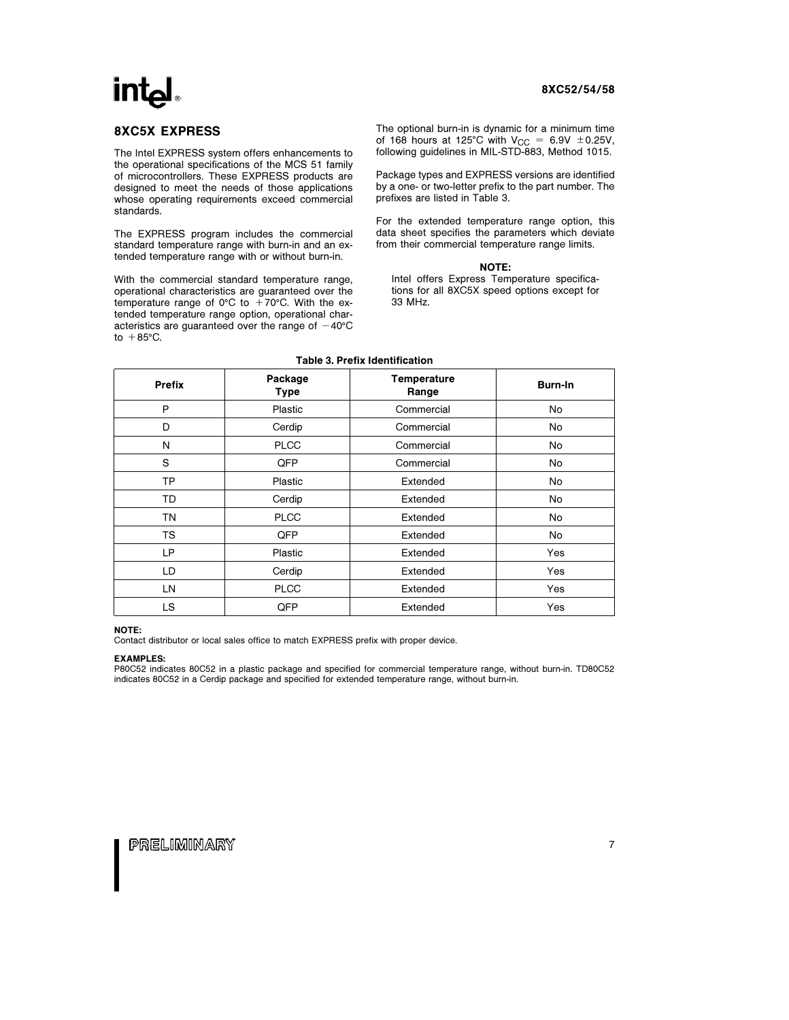#### 8XC5X EXPRESS

The Intel EXPRESS system offers enhancements to the operational specifications of the MCS 51 family of microcontrollers. These EXPRESS products are designed to meet the needs of those applications whose operating requirements exceed commercial standards.

The EXPRESS program includes the commercial standard temperature range with burn-in and an extended temperature range with or without burn-in.

With the commercial standard temperature range, operational characteristics are guaranteed over the temperature range of 0°C to  $+70^{\circ}$ C. With the extended temperature range option, operational characteristics are guaranteed over the range of  $-40^{\circ}$ C to  $+85^{\circ}$ C.

The optional burn-in is dynamic for a minimum time of 168 hours at 125°C with  $V_{CC} = 6.9V \pm 0.25V$ , following guidelines in MIL-STD-883, Method 1015.

Package types and EXPRESS versions are identified by a one- or two-letter prefix to the part number. The prefixes are listed in Table 3.

For the extended temperature range option, this data sheet specifies the parameters which deviate from their commercial temperature range limits.

#### NOTE:

Intel offers Express Temperature specifications for all 8XC5X speed options except for 33 MHz.

| <b>Prefix</b> | Package<br>Type | <b>Temperature</b><br>Range | Burn-In |
|---------------|-----------------|-----------------------------|---------|
| P             | Plastic         | Commercial                  | No      |
| D             | Cerdip          | Commercial                  | No      |
| N             | <b>PLCC</b>     | Commercial                  | No      |
| S             | QFP             | Commercial                  | No      |
| TP            | Plastic         | Extended                    | No      |
| TD            | Cerdip          | Extended                    | No      |
| ΤN            | <b>PLCC</b>     | Extended                    | No      |
| <b>TS</b>     | QFP             | Extended                    | No      |
| LP            | Plastic         | Extended                    | Yes     |
| LD            | Cerdip          | Extended                    | Yes     |
| LN            | <b>PLCC</b>     | Extended                    | Yes     |
| <b>LS</b>     | QFP             | Extended                    | Yes     |

#### Table 3. Prefix Identification

#### NOTE:

Contact distributor or local sales office to match EXPRESS prefix with proper device.

#### EXAMPLES:

P80C52 indicates 80C52 in a plastic package and specified for commercial temperature range, without burn-in. TD80C52 indicates 80C52 in a Cerdip package and specified for extended temperature range, without burn-in.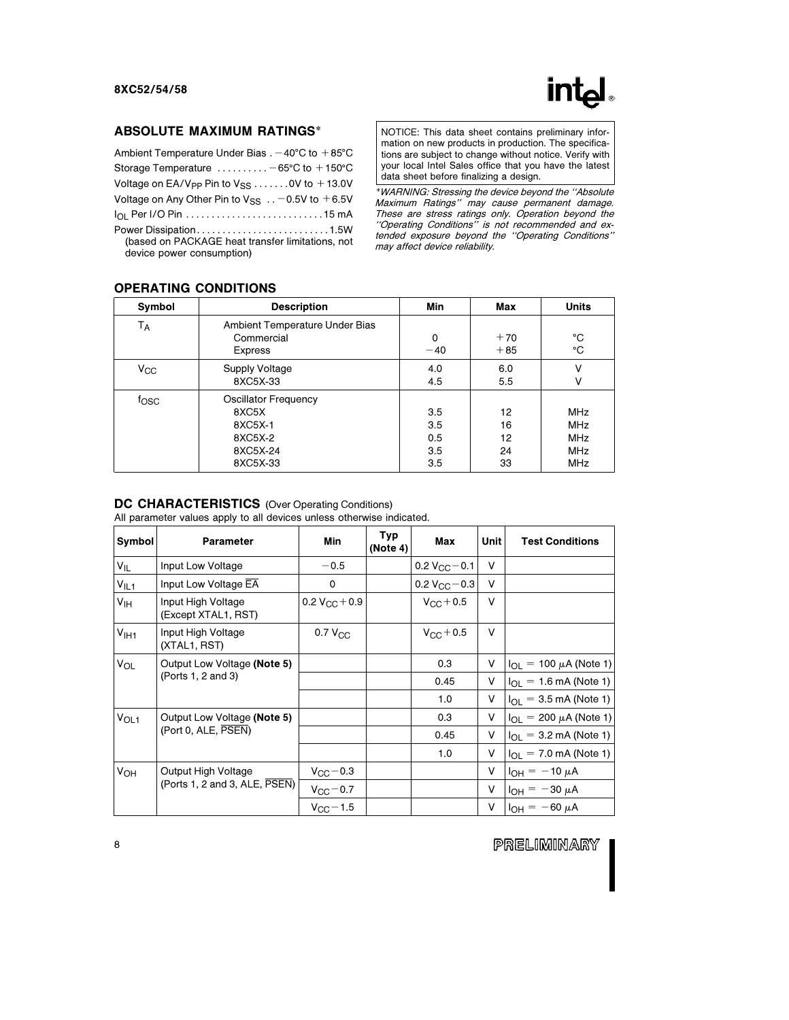### ABSOLUTE MAXIMUM RATINGS\*

| Ambient Temperature Under Bias $. -40^{\circ}$ C to $+85^{\circ}$ C                                    |
|--------------------------------------------------------------------------------------------------------|
| Storage Temperature $\dots\dots\dots -65$ °C to $+150$ °C                                              |
| Voltage on EA/V <sub>PP</sub> Pin to $V_{SS}$ 0V to $+13.0V$                                           |
| Voltage on Any Other Pin to $V_{SS}$ -0.5V to +6.5V                                                    |
|                                                                                                        |
| Power Dissipation1.5W<br>(based on PACKAGE heat transfer limitations, not<br>device power consumption) |

NOTICE: This data sheet contains preliminary information on new products in production. The specifications are subject to change without notice. Verify with your local Intel Sales office that you have the latest data sheet before finalizing a design.

\*WARNING: Stressing the device beyond the ''Absolute Maximum Ratings'' may cause permanent damage. These are stress ratings only. Operation beyond the ''Operating Conditions'' is not recommended and extended exposure beyond the ''Operating Conditions'' may affect device reliability.

### OPERATING CONDITIONS

| Symbol           | <b>Description</b>                                                                 | Min                             | Max                        | <b>Units</b>                                                       |
|------------------|------------------------------------------------------------------------------------|---------------------------------|----------------------------|--------------------------------------------------------------------|
| Т <sub>А</sub>   | Ambient Temperature Under Bias<br>Commercial<br><b>Express</b>                     | 0<br>$-40$                      | $+70$<br>$+85$             | °C<br>°C                                                           |
| $V_{\rm CC}$     | <b>Supply Voltage</b><br>8XC5X-33                                                  | 4.0<br>4.5                      | 6.0<br>5.5                 | V<br>v                                                             |
| f <sub>OSC</sub> | <b>Oscillator Frequency</b><br>8XC5X<br>8XC5X-1<br>8XC5X-2<br>8XC5X-24<br>8XC5X-33 | 3.5<br>3.5<br>0.5<br>3.5<br>3.5 | 12<br>16<br>12<br>24<br>33 | <b>MHz</b><br><b>MHz</b><br><b>MHz</b><br><b>MHz</b><br><b>MHz</b> |

#### DC CHARACTERISTICS (Over Operating Conditions)

All parameter values apply to all devices unless otherwise indicated.

| Symbol                | <b>Parameter</b>                                                   | Min                    | Typ<br>(Note 4) | Max                     | Unit | <b>Test Conditions</b>                    |
|-----------------------|--------------------------------------------------------------------|------------------------|-----------------|-------------------------|------|-------------------------------------------|
| $V_{IL}$              | Input Low Voltage                                                  | $-0.5$                 |                 | 0.2 $V_{CC}$ – 0.1      | v    |                                           |
| V <sub>IL1</sub>      | Input Low Voltage EA                                               | $\mathbf 0$            |                 | 0.2 $V_{\rm GC}$ $-0.3$ | v    |                                           |
| V <sub>IH</sub>       | Input High Voltage<br>(Except XTAL1, RST)                          | $0.2 V_{\rm CC} + 0.9$ |                 | $V_{\rm CC} + 0.5$      | v    |                                           |
| V <sub>1H1</sub>      | Input High Voltage<br>(XTAL1, RST)                                 | 0.7 V <sub>CC</sub>    |                 | $V_{\rm CC} + 0.5$      | v    |                                           |
| <b>V<sub>OL</sub></b> | Output Low Voltage (Note 5)<br>(Ports 1, 2 and 3)                  |                        |                 | 0.3                     | v    | $I_{OL}$ = 100 $\mu$ A (Note 1)           |
|                       |                                                                    |                        |                 | 0.45                    | V    | $I_{OL}$ = 1.6 mA (Note 1)                |
|                       |                                                                    |                        |                 | 1.0                     | v    | $I_{\Omega} = 3.5 \text{ mA}$ (Note 1)    |
| $V_{OL1}$             | Output Low Voltage (Note 5)                                        |                        |                 | 0.3                     | V    | $I_{OL}$ = 200 $\mu$ A (Note 1)           |
|                       | (Port 0, ALE, PSEN)                                                |                        |                 | 0.45                    | v    | $I_{\Omega} = 3.2 \text{ mA}$ (Note 1)    |
|                       |                                                                    |                        |                 | 1.0                     | v    | $I_{\text{OI}} = 7.0 \text{ mA}$ (Note 1) |
| V <sub>OH</sub>       | Output High Voltage<br>(Ports 1, 2 and 3, ALE, $\overline{PSEN}$ ) | $V_{\rm CC}$ – 0.3     |                 |                         | v    | $I_{OH} = -10 \mu A$                      |
|                       |                                                                    | $V_{\rm CC}$ - 0.7     |                 |                         | V    | $I_{OH} = -30 \mu A$                      |
|                       |                                                                    | $V_{\rm CC}$ – 1.5     |                 |                         | V    | $I_{OH} = -60 \mu A$                      |

PRELIMINARY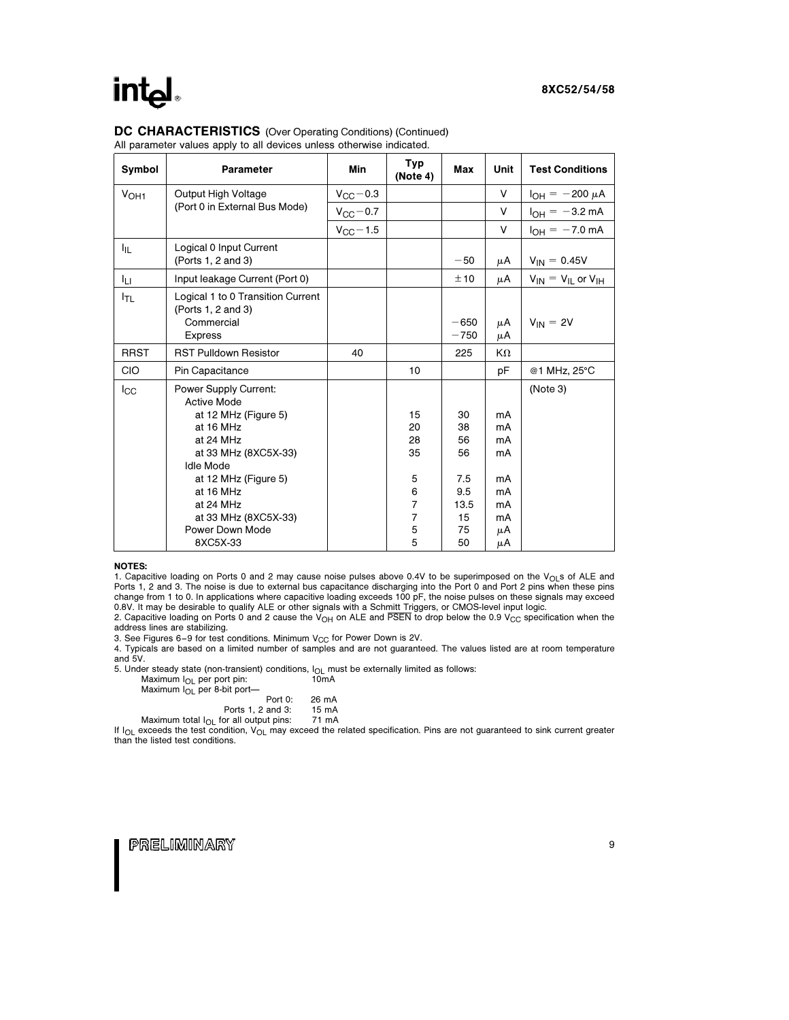## intel

#### DC CHARACTERISTICS (Over Operating Conditions) (Continued)

All parameter values apply to all devices unless otherwise indicated.

| Symbol           | Parameter                                               | Min                | Typ<br>(Note 4) | Max              | <b>Unit</b> | <b>Test Conditions</b>        |
|------------------|---------------------------------------------------------|--------------------|-----------------|------------------|-------------|-------------------------------|
| V <sub>OH1</sub> | Output High Voltage                                     | $V_{\rm CC}$ – 0.3 |                 |                  | V           | $I_{OH} = -200 \mu A$         |
|                  | (Port 0 in External Bus Mode)                           | $V_{\rm CC}$ - 0.7 |                 |                  | V           | $I_{OH} = -3.2$ mA            |
|                  |                                                         | $V_{CC}$ – 1.5     |                 |                  | V           | $I_{OH} = -7.0$ mA            |
| ŀщ.              | Logical 0 Input Current<br>(Ports 1, 2 and 3)           |                    |                 | $-50$            | μA          | $V_{IN} = 0.45V$              |
| Iц               | Input leakage Current (Port 0)                          |                    |                 | ±10              | μA          | $V_{IN} = V_{IL}$ or $V_{IH}$ |
| I <sub>TL</sub>  | Logical 1 to 0 Transition Current<br>(Ports 1, 2 and 3) |                    |                 |                  |             |                               |
|                  | Commercial<br><b>Express</b>                            |                    |                 | $-650$<br>$-750$ | μA<br>μA    | $V_{IN} = 2V$                 |
| <b>RRST</b>      | <b>RST Pulldown Resistor</b>                            | 40                 |                 | 225              | KΩ          |                               |
| CIO              | Pin Capacitance                                         |                    | 10              |                  | pF          | @1 MHz, 25°C                  |
| $_{\rm lcc}$     | Power Supply Current:<br><b>Active Mode</b>             |                    |                 |                  |             | (Note 3)                      |
|                  | at 12 MHz (Figure 5)                                    |                    | 15              | 30               | mA          |                               |
|                  | at 16 MHz                                               |                    | 20              | 38               | mA          |                               |
|                  | at 24 MHz                                               |                    | 28<br>35        | 56<br>56         | mA<br>mA    |                               |
|                  | at 33 MHz (8XC5X-33)<br><b>Idle Mode</b>                |                    |                 |                  |             |                               |
|                  | at 12 MHz (Figure 5)                                    |                    | 5               | 7.5              | mA          |                               |
|                  | at 16 MHz                                               |                    | 6               | 9.5              | mA          |                               |
|                  | at 24 MHz                                               |                    | $\overline{7}$  | 13.5             | mA          |                               |
|                  | at 33 MHz (8XC5X-33)                                    |                    | 7               | 15               | mA          |                               |
|                  | Power Down Mode                                         |                    | 5               | 75               | μA          |                               |
|                  | 8XC5X-33                                                |                    | 5               | 50               | μA          |                               |

#### NOTES:

1. Capacitive loading on Ports 0 and 2 may cause noise pulses above 0.4V to be superimposed on the  $V_{\text{O}}$  s of ALE and Ports 1, 2 and 3. The noise is due to external bus capacitance discharging into the Port 0 and Port 2 pins when these pins change from 1 to 0. In applications where capacitive loading exceeds 100 pF, the noise pulses on these signals may exceed 0.8V. It may be desirable to qualify ALE or other signals with a Schmitt Triggers, or CMOS-level input logic.

2. Capacitive loading on Ports 0 and 2 cause the  $V_{OH}$  on ALE and PSEN to drop below the 0.9 V<sub>CC</sub> specification when the address lines are stabilizing.

3. See Figures 6-9 for test conditions. Minimum  $V_{CC}$  for Power Down is 2V.

4. Typicals are based on a limited number of samples and are not guaranteed. The values listed are at room temperature and 5V.

5. Under steady state (non-transient) conditions,  $I_{OL}$  must be externally limited as follows:<br>Maximum  $I_{OL}$  per port pin: 10mA<br>10mA

| Maximum $ _{\bigcap}$ per port pin:         | 10 <sub>m</sub> A |
|---------------------------------------------|-------------------|
| Maximum $I_{\Omega}$ per 8-bit port-        |                   |
| Port 0:                                     | 26 mA             |
| Ports 1, 2 and 3:                           | 15 mA             |
| Maximum total $I_{OL}$ for all output pins: | 71 mA             |

If I<sub>OL</sub> exceeds the test condition, V<sub>OL</sub> may exceed the related specification. Pins are not guaranteed to sink current greater than the listed test conditions.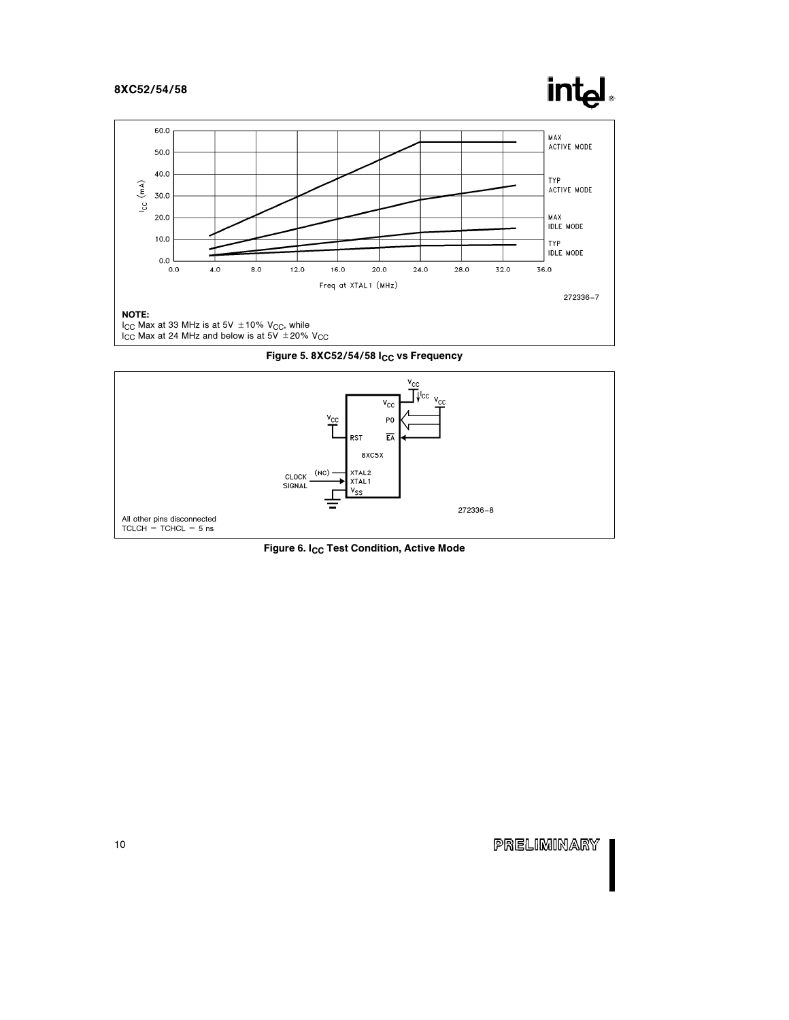## intel







Figure 6. I<sub>CC</sub> Test Condition, Active Mode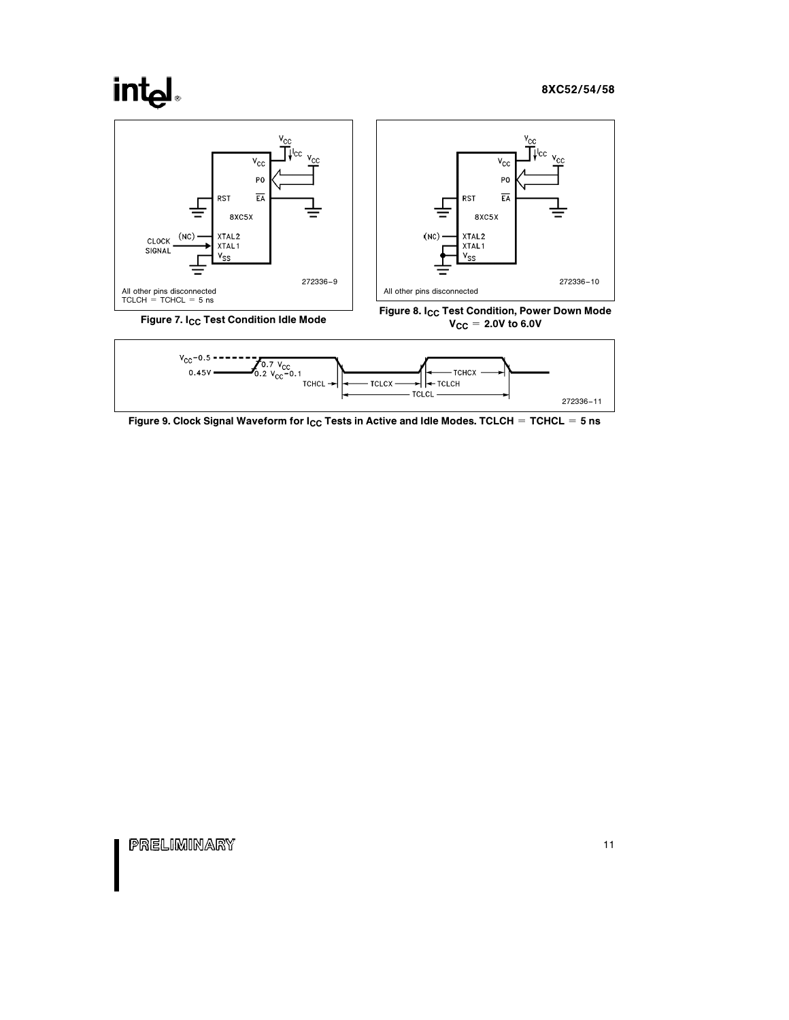# **intal**





Figure 9. Clock Signal Waveform for  $I_{CC}$  Tests in Active and Idle Modes. TCLCH = TCHCL = 5 ns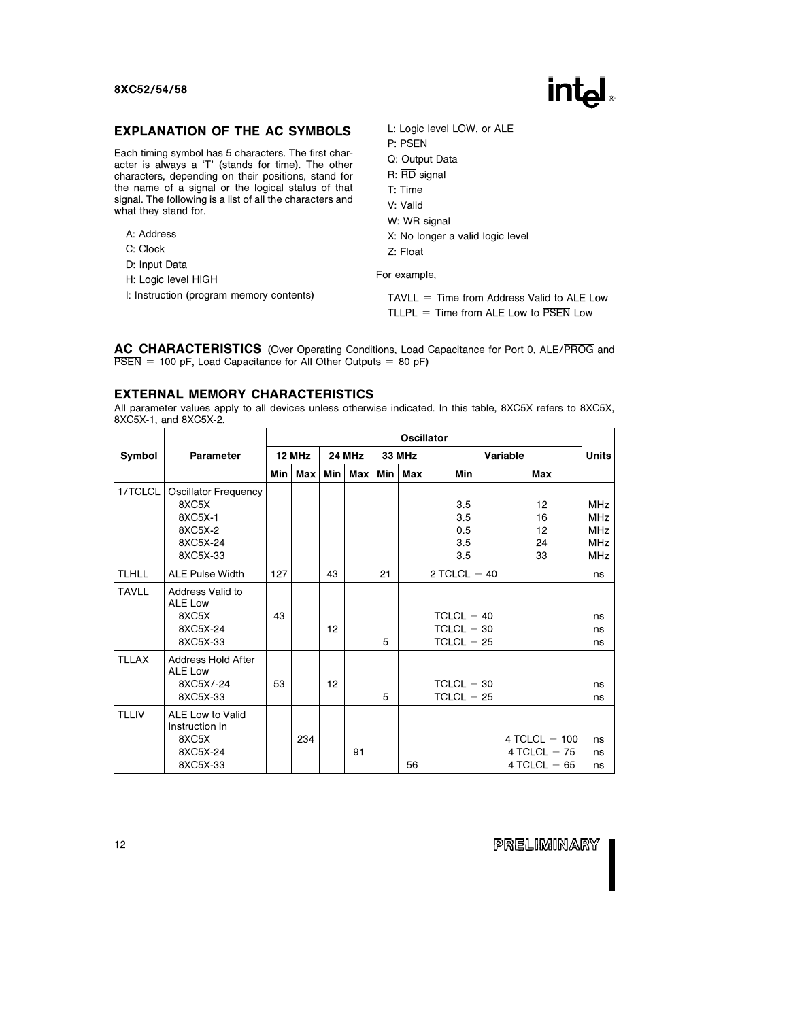### EXPLANATION OF THE AC SYMBOLS

Each timing symbol has 5 characters. The first character is always a 'T' (stands for time). The other characters, depending on their positions, stand for the name of a signal or the logical status of that signal. The following is a list of all the characters and what they stand for.

- A: Address
- C: Clock
- D: Input Data
- H: Logic level HIGH
- I: Instruction (program memory contents)

L: Logic level LOW, or ALE

- P: PSEN
- Q: Output Data
- R: RD signal
- T: Time
- V: Valid
- W: WR signal
- X: No longer a valid logic level
- Z: Float

For example,

 $TAVLL = Time from Address Valid to ALE Low$ TLLPL = Time from ALE Low to  $\overline{PSFN}$  Low

AC CHARACTERISTICS (Over Operating Conditions, Load Capacitance for Port 0, ALE/PROG and  $\overline{PSEN}$  = 100 pF, Load Capacitance for All Other Outputs = 80 pF)

#### EXTERNAL MEMORY CHARACTERISTICS

All parameter values apply to all devices unless otherwise indicated. In this table, 8XC5X refers to 8XC5X, 8XC5X-1, and 8XC5X-2.

|              |                                                                                    | <b>Oscillator</b> |        |     |               |    |               |                                              |                                                     |                                                                    |  |  |
|--------------|------------------------------------------------------------------------------------|-------------------|--------|-----|---------------|----|---------------|----------------------------------------------|-----------------------------------------------------|--------------------------------------------------------------------|--|--|
| Symbol       | Parameter                                                                          |                   | 12 MHz |     | <b>24 MHz</b> |    | <b>33 MHz</b> |                                              | Variable                                            | <b>Units</b>                                                       |  |  |
|              |                                                                                    | Min I             | Max    | Min | Max           |    | Min   Max     | Min                                          | Max                                                 |                                                                    |  |  |
| 1/TCLCL      | <b>Oscillator Frequency</b><br>8XC5X<br>8XC5X-1<br>8XC5X-2<br>8XC5X-24<br>8XC5X-33 |                   |        |     |               |    |               | 3.5<br>3.5<br>0.5<br>3.5<br>3.5              | 12<br>16<br>12<br>24<br>33                          | <b>MHz</b><br><b>MHz</b><br><b>MHz</b><br><b>MHz</b><br><b>MHz</b> |  |  |
| <b>TLHLL</b> | <b>ALE Pulse Width</b>                                                             | 127               |        | 43  |               | 21 |               | $2$ TCLCL $-40$                              |                                                     | ns                                                                 |  |  |
| <b>TAVLL</b> | <b>Address Valid to</b><br>ALE Low<br>8XC5X<br>8XC5X-24<br>8XC5X-33                | 43                |        | 12  |               | 5  |               | $TCLCL - 40$<br>$TCLCL - 30$<br>$TCLCL - 25$ |                                                     | ns<br>ns<br>ns                                                     |  |  |
| <b>TLLAX</b> | Address Hold After<br>ALE Low<br>8XC5X/-24<br>8XC5X-33                             | 53                |        | 12  |               | 5  |               | $TCLCL - 30$<br>$TCLCL - 25$                 |                                                     | ns<br>ns                                                           |  |  |
| <b>TLLIV</b> | ALE Low to Valid<br>Instruction In<br>8XC5X<br>8XC5X-24<br>8XC5X-33                |                   | 234    |     | 91            |    | 56            |                                              | $4$ TCLCL $-$ 100<br>4 TCLCL $-75$<br>4 TCLCL $-65$ | ns<br>ns<br>ns                                                     |  |  |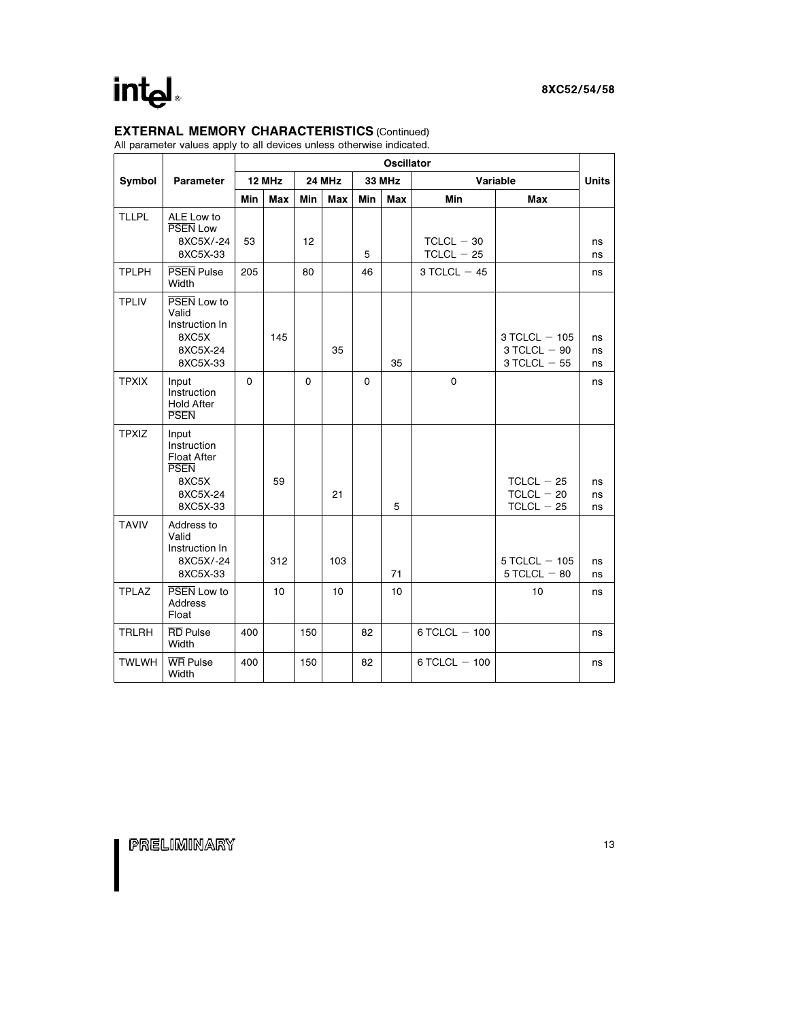## EXTERNAL MEMORY CHARACTERISTICS (Continued)

All parameter values apply to all devices unless otherwise indicated.

|              |                                                                                            | <b>Oscillator</b> |        |     |        |          |               |                              |                                                         |                |
|--------------|--------------------------------------------------------------------------------------------|-------------------|--------|-----|--------|----------|---------------|------------------------------|---------------------------------------------------------|----------------|
| Symbol       | <b>Parameter</b>                                                                           |                   | 12 MHz |     | 24 MHz |          | <b>33 MHz</b> |                              | Variable                                                | <b>Units</b>   |
|              |                                                                                            | Min               | Max    | Min | Max    | Min      | <b>Max</b>    | Min                          | Max                                                     |                |
| <b>TLLPL</b> | ALE Low to<br><b>PSEN Low</b><br>8XC5X/-24<br>8XC5X-33                                     | 53                |        | 12  |        | 5        |               | $TCLCL - 30$<br>$TCLCL - 25$ |                                                         | ns<br>ns       |
| <b>TPLPH</b> | <b>PSEN Pulse</b><br>Width                                                                 | 205               |        | 80  |        | 46       |               | $3$ TCLCL $-45$              |                                                         | ns             |
| <b>TPLIV</b> | PSEN Low to<br>Valid<br>Instruction In<br>8XC5X<br>8XC5X-24<br>8XC5X-33                    |                   | 145    |     | 35     |          | 35            |                              | $3$ TCLCL $-$ 105<br>$3$ TCLCL $-90$<br>$3$ TCLCL $-55$ | ns<br>ns<br>ns |
| <b>TPXIX</b> | Input<br>Instruction<br><b>Hold After</b><br><b>PSEN</b>                                   | $\mathbf{0}$      |        | 0   |        | $\Omega$ |               | $\mathbf 0$                  |                                                         | ns             |
| <b>TPXIZ</b> | Input<br>Instruction<br><b>Float After</b><br><b>PSEN</b><br>8XC5X<br>8XC5X-24<br>8XC5X-33 |                   | 59     |     | 21     |          | 5             |                              | $TCLCL - 25$<br>$TCLCL - 20$<br>$TCLCL - 25$            | ns<br>ns<br>ns |
| <b>TAVIV</b> | Address to<br>Valid<br>Instruction In<br>8XC5X/-24<br>8XC5X-33                             |                   | 312    |     | 103    |          | 71            |                              | $5$ TCLCL $-105$<br>$5$ TCLCL $-$ 80                    | ns<br>ns       |
| <b>TPLAZ</b> | PSEN Low to<br><b>Address</b><br>Float                                                     |                   | 10     |     | 10     |          | 10            |                              | 10                                                      | ns             |
| <b>TRLRH</b> | <b>RD</b> Pulse<br>Width                                                                   | 400               |        | 150 |        | 82       |               | $6$ TCLCL $-100$             |                                                         | ns             |
| <b>TWLWH</b> | <b>WR Pulse</b><br>Width                                                                   | 400               |        | 150 |        | 82       |               | $6$ TCLCL $-100$             |                                                         | ns             |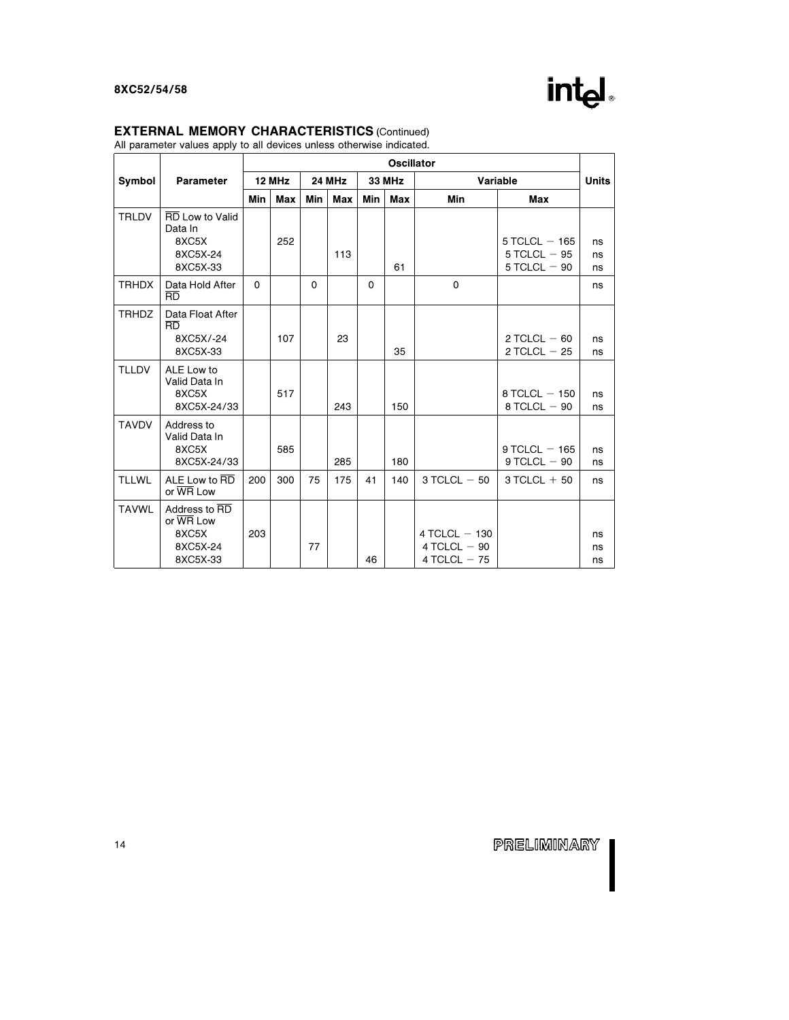## intd.

#### EXTERNAL MEMORY CHARACTERISTICS (Continued)

All parameter values apply to all devices unless otherwise indicated.

|              |                                                                    |          | <b>Oscillator</b> |     |               |             |               |                                                     |                                                         |                |  |
|--------------|--------------------------------------------------------------------|----------|-------------------|-----|---------------|-------------|---------------|-----------------------------------------------------|---------------------------------------------------------|----------------|--|
| Symbol       | <b>Parameter</b>                                                   |          | 12 MHz            |     | <b>24 MHz</b> |             | <b>33 MHz</b> |                                                     | Variable                                                | <b>Units</b>   |  |
|              |                                                                    | Min      | Max               | Min | Max           | Min         | Max           | Min                                                 | Max                                                     |                |  |
| <b>TRLDV</b> | <b>RD</b> Low to Valid<br>Data In<br>8XC5X<br>8XC5X-24<br>8XC5X-33 |          | 252               |     | 113           |             | 61            |                                                     | $5$ TCLCL $-$ 165<br>$5$ TCLCL $-95$<br>$5$ TCLCL $-90$ | ns<br>ns<br>ns |  |
| <b>TRHDX</b> | Data Hold After<br><b>RD</b>                                       | $\Omega$ | $\Omega$          |     |               | $\mathbf 0$ |               | $\mathbf 0$                                         |                                                         | ns             |  |
| <b>TRHDZ</b> | Data Float After<br>BD<br>8XC5X/-24<br>8XC5X-33                    |          | 107               |     | 23            |             | 35            |                                                     | $2$ TCLCL $-60$<br>2 TCLCL $-25$                        | ns<br>ns       |  |
| <b>TLLDV</b> | ALE Low to<br>Valid Data In<br>8XC5X<br>8XC5X-24/33                |          | 517               |     | 243           |             | 150           |                                                     | $8$ TCLCL $-$ 150<br>$8$ TCLCL $-90$                    | ns<br>ns       |  |
| <b>TAVDV</b> | Address to<br>Valid Data In<br>8XC5X<br>8XC5X-24/33                |          | 585               |     | 285           |             | 180           |                                                     | $9$ TCLCL $-$ 165<br>$9$ TCLCL $-90$                    | ns<br>ns       |  |
| <b>TLLWL</b> | ALE Low to RD<br>or WR Low                                         | 200      | 300               | 75  | 175           | 41          | 140           | $3$ TCLCL $-50$                                     | $3 TCLCL + 50$                                          | ns             |  |
| <b>TAVWL</b> | Address to RD<br>or WR Low<br>8XC5X<br>8XC5X-24<br>8XC5X-33        | 203      |                   | 77  |               | 46          |               | $4$ TCLCL $-$ 130<br>4 TCLCL $-90$<br>4 TCLCL $-75$ |                                                         | ns<br>ns<br>ns |  |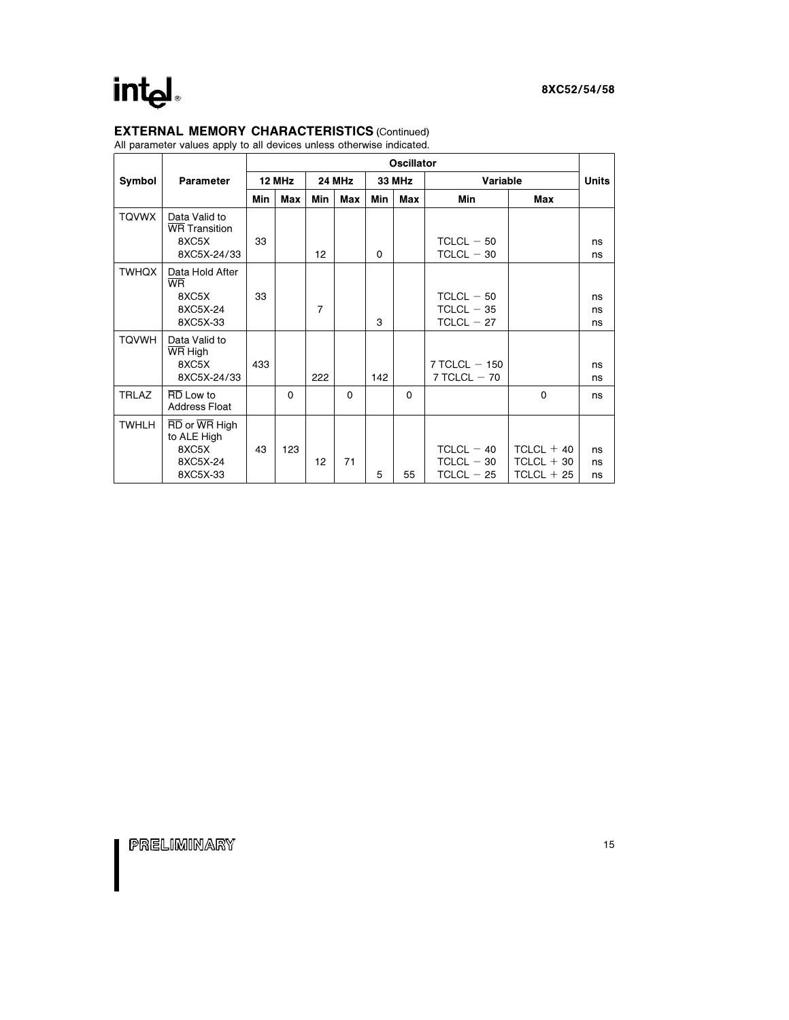## EXTERNAL MEMORY CHARACTERISTICS (Continued)

All parameter values apply to all devices unless otherwise indicated.

|              |                                                                                         |     | <b>Oscillator</b> |     |          |     |               |                                              |                                              |                |  |  |
|--------------|-----------------------------------------------------------------------------------------|-----|-------------------|-----|----------|-----|---------------|----------------------------------------------|----------------------------------------------|----------------|--|--|
| Symbol       | Parameter                                                                               |     | 12 MHz            |     | 24 MHz   |     | <b>33 MHz</b> | Variable                                     |                                              | <b>Units</b>   |  |  |
|              |                                                                                         | Min | Max               | Min | Max      | Min | Max           | Min                                          | Max                                          |                |  |  |
| <b>TQVWX</b> | Data Valid to<br><b>WR</b> Transition<br>8XC5X<br>8XC5X-24/33                           | 33  |                   | 12  |          | 0   |               | $TCLCL - 50$<br>$TCLCL - 30$                 |                                              | ns<br>ns       |  |  |
| <b>TWHQX</b> | Data Hold After<br><b>WR</b><br>8XC5X<br>8XC5X-24<br>8XC5X-33                           | 33  |                   | 7   |          | 3   |               | $TCLCL - 50$<br>$TCLCL - 35$<br>$TCLCL - 27$ |                                              | ns<br>ns<br>ns |  |  |
| <b>TQVWH</b> | Data Valid to<br>WR High<br>8XC5X<br>8XC5X-24/33                                        | 433 |                   | 222 |          | 142 |               | $7$ TCLCL $-$ 150<br>$7$ TCLCL $-70$         |                                              | ns<br>ns       |  |  |
| <b>TRLAZ</b> | RD Low to<br><b>Address Float</b>                                                       |     | $\mathbf 0$       |     | $\Omega$ |     | $\Omega$      |                                              | $\mathbf 0$                                  | ns             |  |  |
| <b>TWHLH</b> | $\overline{RD}$ or $\overline{WR}$ High<br>to ALE High<br>8XC5X<br>8XC5X-24<br>8XC5X-33 | 43  | 123               | 12  | 71       | 5   | 55            | $TCLCL - 40$<br>$TCLCL - 30$<br>$TCLCL - 25$ | $TCLCL + 40$<br>$TCLCL + 30$<br>$TCLCL + 25$ | ns<br>ns<br>ns |  |  |

I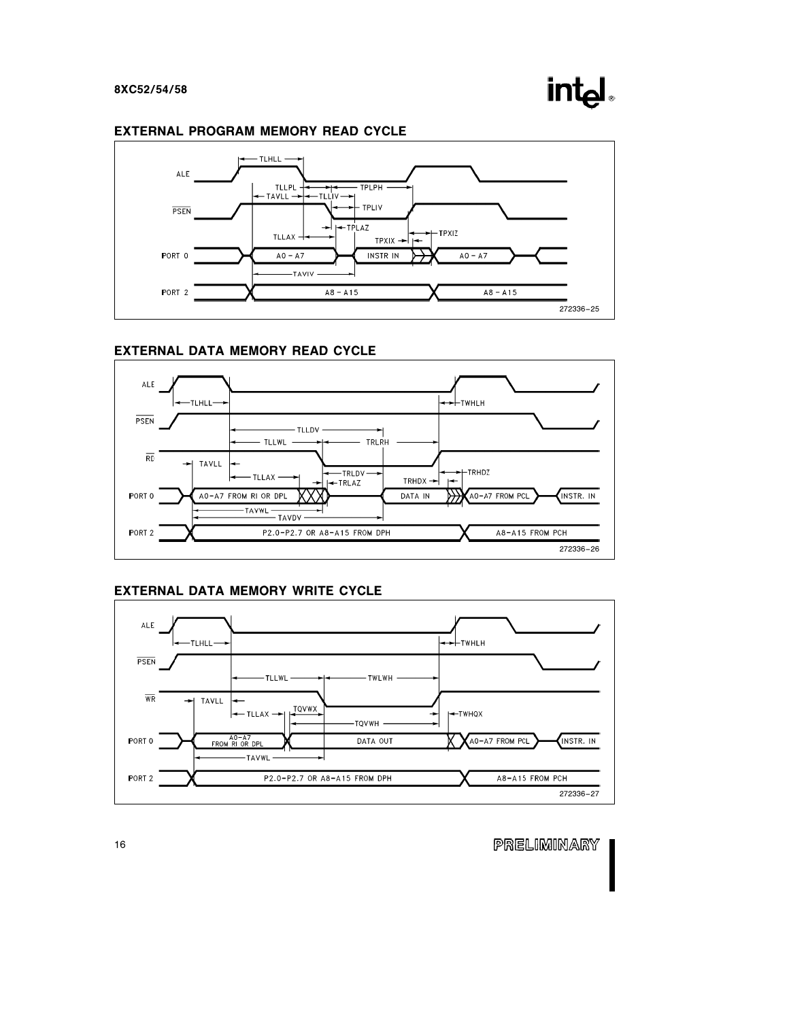## in

### EXTERNAL PROGRAM MEMORY READ CYCLE



### EXTERNAL DATA MEMORY READ CYCLE



## EXTERNAL DATA MEMORY WRITE CYCLE

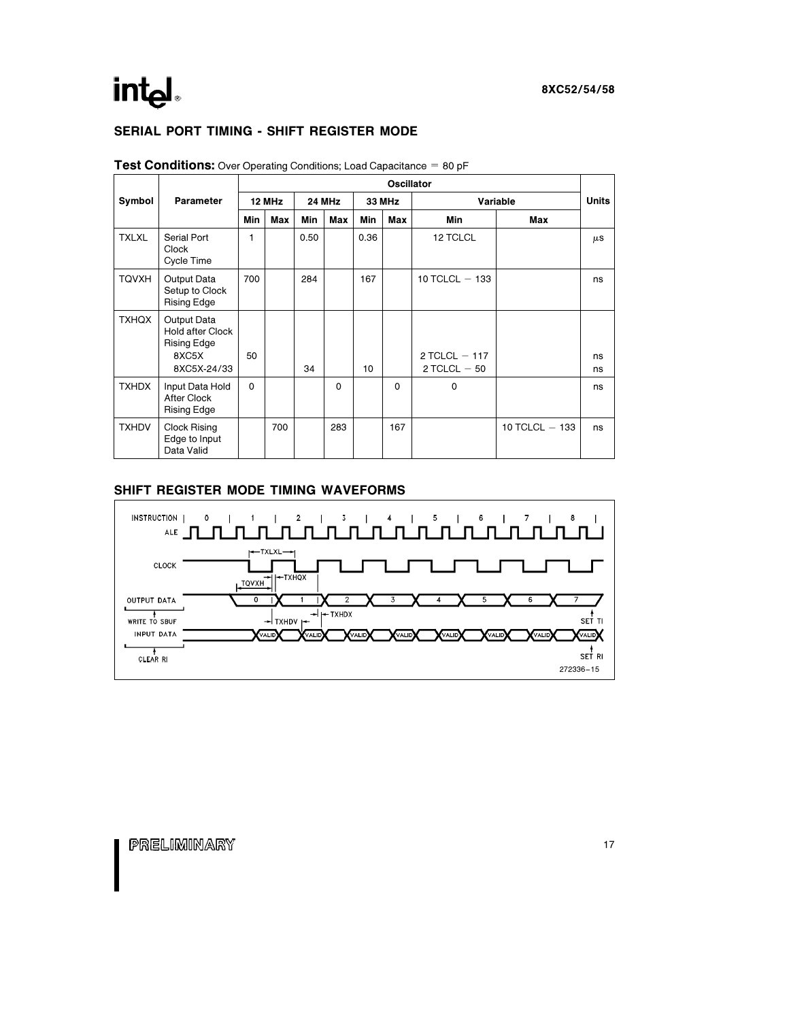## SERIAL PORT TIMING - SHIFT REGISTER MODE

|                            |                                                                               | Oscillator   |     |            |        |      |        |                                   |                  |              |  |
|----------------------------|-------------------------------------------------------------------------------|--------------|-----|------------|--------|------|--------|-----------------------------------|------------------|--------------|--|
| <b>Parameter</b><br>Symbol |                                                                               | 12 MHz       |     |            | 24 MHz |      | 33 MHz | Variable                          |                  | <b>Units</b> |  |
|                            |                                                                               | <b>Min</b>   | Max | <b>Min</b> | Max    | Min  | Max    | <b>Min</b>                        | Max              |              |  |
| <b>TXLXL</b>               | Serial Port<br>Clock<br>Cycle Time                                            | 1            |     | 0.50       |        | 0.36 |        | 12 TCLCL                          |                  | $\mu$ S      |  |
| <b>TQVXH</b>               | Output Data<br>Setup to Clock<br><b>Rising Edge</b>                           | 700          |     | 284        |        | 167  |        | 10 TCLCL $-$ 133                  |                  | ns           |  |
| <b>TXHQX</b>               | Output Data<br><b>Hold after Clock</b><br>Rising Edge<br>8XC5X<br>8XC5X-24/33 | 50           |     | 34         |        | 10   |        | 2 TCLCL $-117$<br>$2$ TCLCL $-50$ |                  | ns<br>ns     |  |
| <b>TXHDX</b>               | Input Data Hold<br>After Clock<br><b>Rising Edge</b>                          | $\mathbf{0}$ |     |            | 0      |      | 0      | $\Omega$                          |                  | ns           |  |
| <b>TXHDV</b>               | Clock Rising<br>Edge to Input<br>Data Valid                                   |              | 700 |            | 283    |      | 167    |                                   | 10 TCLCL $-$ 133 | ns           |  |

**Test Conditions:** Over Operating Conditions; Load Capacitance  $= 80$  pF

#### SHIFT REGISTER MODE TIMING WAVEFORMS

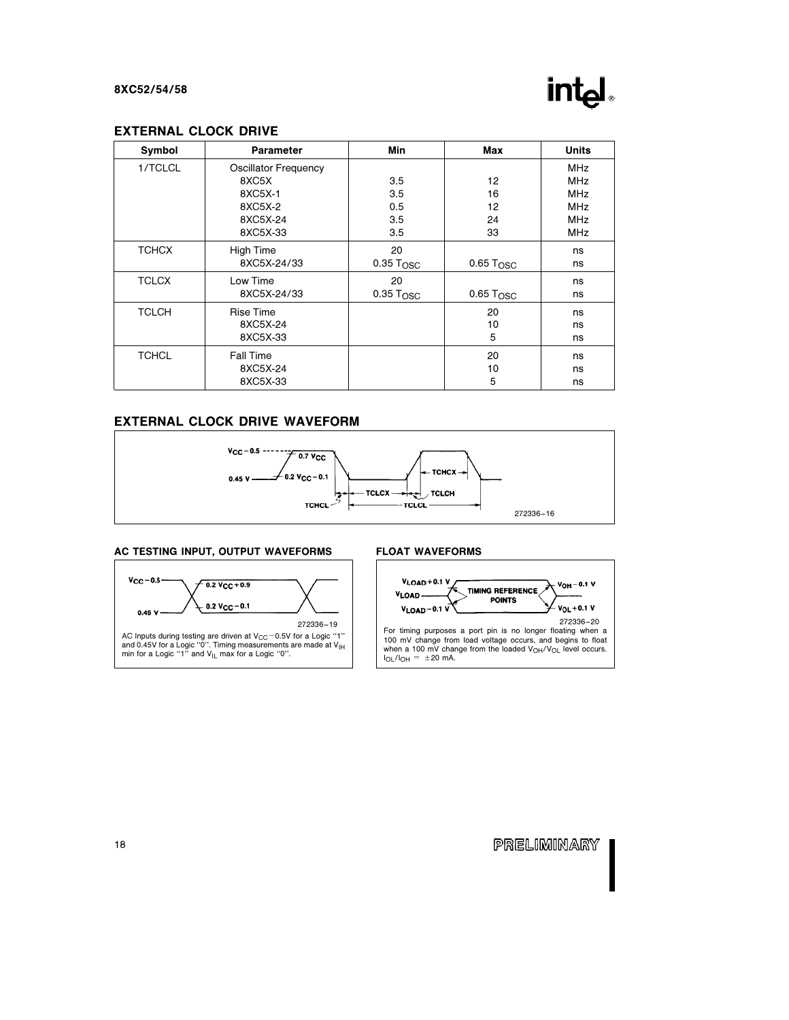## int

#### EXTERNAL CLOCK DRIVE

| Symbol       | <b>Parameter</b>            | Min                     | Max                     | <b>Units</b> |
|--------------|-----------------------------|-------------------------|-------------------------|--------------|
| 1/TCLCL      | <b>Oscillator Frequency</b> |                         |                         | <b>MHz</b>   |
|              | 8XC5X                       | 3.5                     | 12                      | <b>MHz</b>   |
|              | 8XC5X-1                     | 3.5                     | 16                      | <b>MHz</b>   |
|              | 8XC5X-2                     | 0.5                     | 12                      | <b>MHz</b>   |
|              | 8XC5X-24                    | 3.5                     | 24                      | <b>MHz</b>   |
|              | 8XC5X-33                    | 3.5                     | 33                      | <b>MHz</b>   |
| <b>TCHCX</b> | High Time                   | 20                      |                         | ns           |
|              | 8XC5X-24/33                 | $0.35$ T <sub>OSC</sub> | $0.65$ Tosc             | ns           |
| <b>TCLCX</b> | Low Time                    | 20                      |                         | ns           |
|              | 8XC5X-24/33                 | $0.35$ T <sub>OSC</sub> | $0.65$ T <sub>OSC</sub> | ns           |
| <b>TCLCH</b> | <b>Rise Time</b>            |                         | 20                      | ns           |
|              | 8XC5X-24                    |                         | 10                      | ns           |
|              | 8XC5X-33                    |                         | 5                       | ns           |
| <b>TCHCL</b> | <b>Fall Time</b>            |                         | 20                      | ns           |
|              | 8XC5X-24                    |                         | 10                      | ns           |
|              | 8XC5X-33                    |                         | 5                       | ns           |

#### EXTERNAL CLOCK DRIVE WAVEFORM



#### AC TESTING INPUT, OUTPUT WAVEFORMS



#### FLOAT WAVEFORMS



ı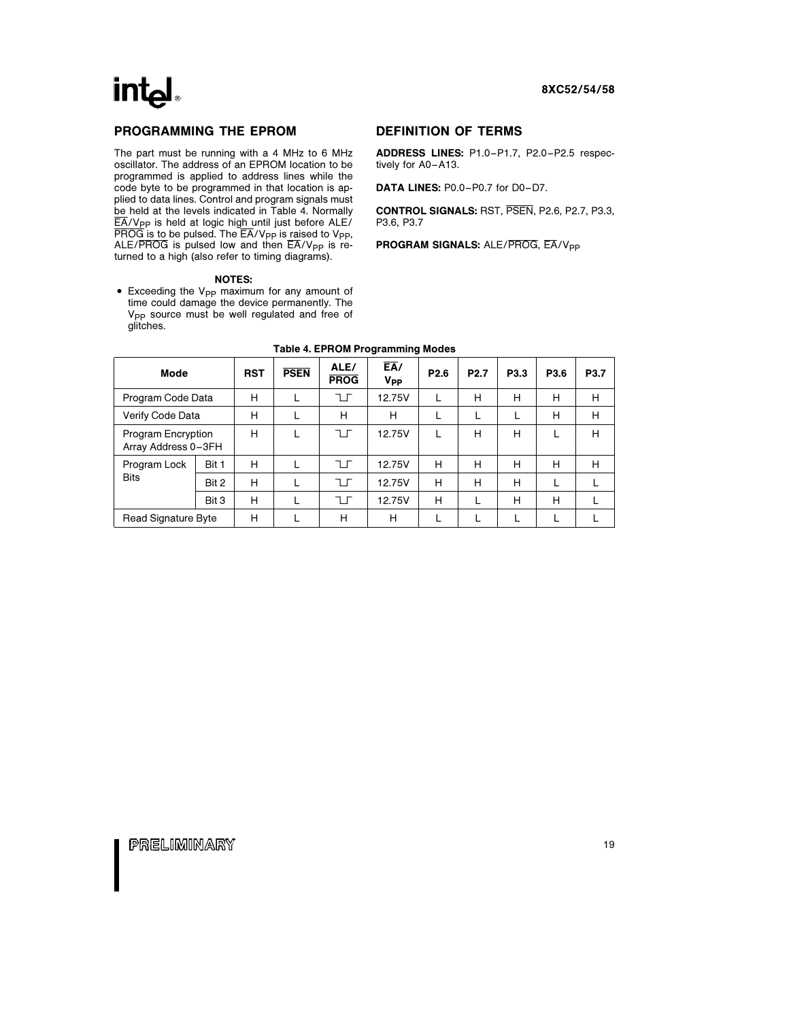

#### PROGRAMMING THE EPROM

The part must be running with a 4 MHz to 6 MHz oscillator. The address of an EPROM location to be programmed is applied to address lines while the code byte to be programmed in that location is applied to data lines. Control and program signals must be held at the levels indicated in Table 4. Normally  $\overline{EA}/V_{PP}$  is held at logic high until just before ALE/  $\overline{\mathsf{PROG}}$  is to be pulsed. The  $\overline{\mathsf{EA}}/\mathsf{V}_{\mathsf{PP}}$  is raised to  $\mathsf{V}_{\mathsf{PP}}$ , ALE/PROG is pulsed low and then  $\overline{EA}/V_{PP}$  is returned to a high (also refer to timing diagrams).

#### NOTES:

• Exceeding the V<sub>PP</sub> maximum for any amount of time could damage the device permanently. The V<sub>PP</sub> source must be well requiated and free of glitches.

#### DEFINITION OF TERMS

ADDRESS LINES: P1.0 –P1.7, P2.0 –P2.5 respectively for A0-A13.

DATA LINES: P0.0-P0.7 for D0-D7.

CONTROL SIGNALS: RST, PSEN, P2.6, P2.7, P3.3, P3.6, P3.7

PROGRAM SIGNALS: ALE/PROG, EA/V<sub>PP</sub>

| <b>Mode</b>                               |       | <b>RST</b> | <b>PSEN</b> | ALE/<br><b>PROG</b> | $E_{A}$<br><b>V<sub>PP</sub></b> | P <sub>2.6</sub> | P <sub>2.7</sub> | P <sub>3.3</sub> | P3.6 | P <sub>3.7</sub> |  |
|-------------------------------------------|-------|------------|-------------|---------------------|----------------------------------|------------------|------------------|------------------|------|------------------|--|
| Program Code Data                         |       | н          |             | ᅚ                   | 12.75V                           |                  | н                | н                | Н    | H                |  |
| Verify Code Data                          | н     | L          | н           | н                   |                                  | L                | L                | Н                | H    |                  |  |
| Program Encryption<br>Array Address 0-3FH |       | н          |             | ᅚ                   | 12.75V                           |                  | н                | н                |      | H                |  |
| Program Lock                              | Bit 1 | н          |             | ┐г                  | 12.75V                           | н                | н                | н                | Н    | H                |  |
| <b>Bits</b>                               | Bit 2 | н          |             | ┐г                  | 12.75V                           | н                | н                | н                |      |                  |  |
|                                           | Bit 3 | н          |             | $\exists$ $\Gamma$  | 12.75V                           | н                |                  | н                | Н    |                  |  |
| Read Signature Byte                       |       | н          |             | н                   | н                                |                  |                  |                  |      |                  |  |

#### Table 4. EPROM Programming Modes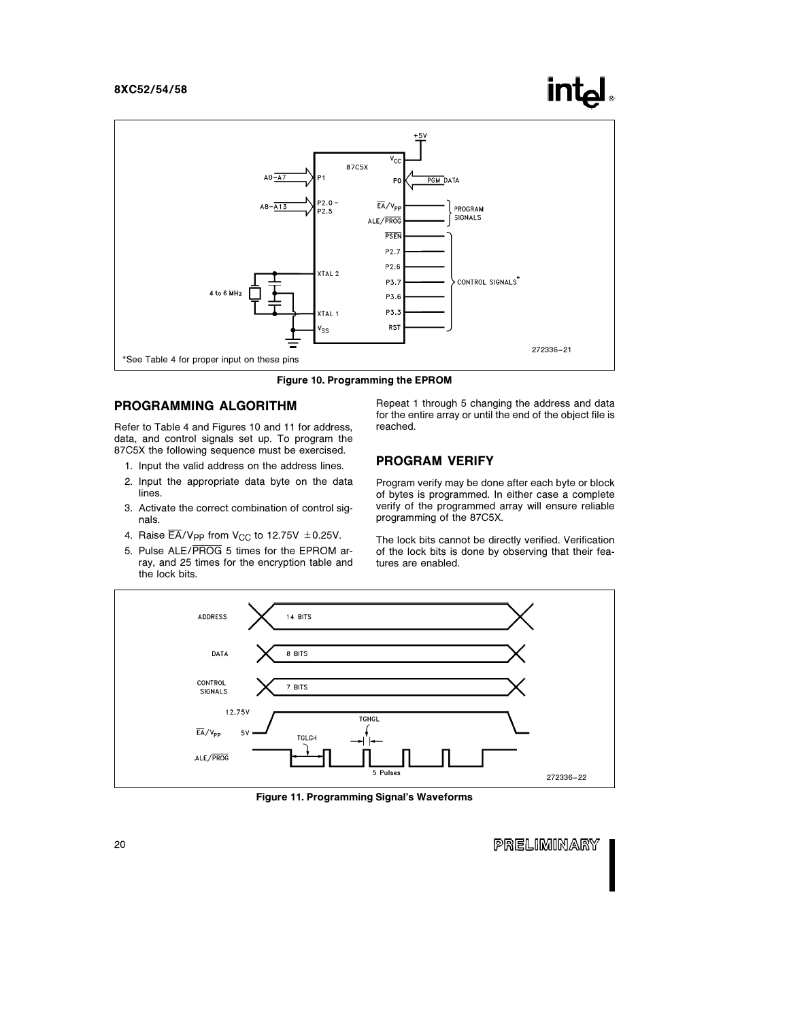

Figure 10. Programming the EPROM

#### PROGRAMMING ALGORITHM

Refer to Table 4 and Figures 10 and 11 for address, data, and control signals set up. To program the 87C5X the following sequence must be exercised.

- 1. Input the valid address on the address lines.
- 2. Input the appropriate data byte on the data lines.
- 3. Activate the correct combination of control signals.
- 4. Raise  $\overline{\mathsf{EA}}$ /V<sub>PP</sub> from V<sub>CC</sub> to 12.75V  $\pm$  0.25V.
- 5. Pulse ALE/PROG 5 times for the EPROM array, and 25 times for the encryption table and the lock bits.

Repeat 1 through 5 changing the address and data for the entire array or until the end of the object file is reached.

#### PROGRAM VERIFY

Program verify may be done after each byte or block of bytes is programmed. In either case a complete verify of the programmed array will ensure reliable programming of the 87C5X.

The lock bits cannot be directly verified. Verification of the lock bits is done by observing that their features are enabled.



Figure 11. Programming Signal's Waveforms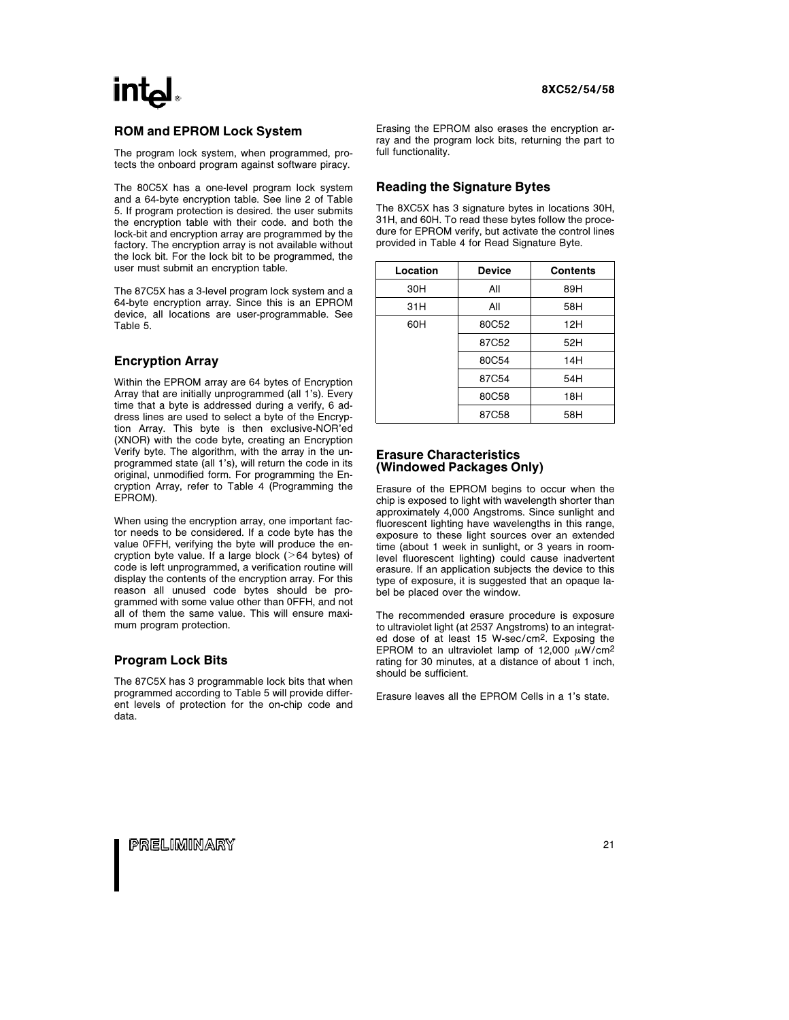### ROM and EPROM Lock System

The program lock system, when programmed, protects the onboard program against software piracy.

The 80C5X has a one-level program lock system and a 64-byte encryption table. See line 2 of Table 5. If program protection is desired. the user submits the encryption table with their code. and both the lock-bit and encryption array are programmed by the factory. The encryption array is not available without the lock bit. For the lock bit to be programmed, the user must submit an encryption table.

The 87C5X has a 3-level program lock system and a 64-byte encryption array. Since this is an EPROM device, all locations are user-programmable. See Table 5.

#### Encryption Array

Within the EPROM array are 64 bytes of Encryption Array that are initially unprogrammed (all 1's). Every time that a byte is addressed during a verify, 6 address lines are used to select a byte of the Encryption Array. This byte is then exclusive-NOR'ed (XNOR) with the code byte, creating an Encryption Verify byte. The algorithm, with the array in the unprogrammed state (all 1's), will return the code in its original, unmodified form. For programming the Encryption Array, refer to Table 4 (Programming the EPROM).

When using the encryption array, one important factor needs to be considered. If a code byte has the value 0FFH, verifying the byte will produce the encryption byte value. If a large block ( $>64$  bytes) of code is left unprogrammed, a verification routine will display the contents of the encryption array. For this reason all unused code bytes should be programmed with some value other than 0FFH, and not all of them the same value. This will ensure maximum program protection.

#### Program Lock Bits

The 87C5X has 3 programmable lock bits that when programmed according to Table 5 will provide different levels of protection for the on-chip code and data.

Erasing the EPROM also erases the encryption array and the program lock bits, returning the part to full functionality.

#### Reading the Signature Bytes

The 8XC5X has 3 signature bytes in locations 30H, 31H, and 60H. To read these bytes follow the procedure for EPROM verify, but activate the control lines provided in Table 4 for Read Signature Byte.

| Location | <b>Device</b> | <b>Contents</b> |
|----------|---------------|-----------------|
| 30H      | All           | 89H             |
| 31H      | All           | 58H             |
| 60H      | 80C52         | 12H             |
|          | 87C52         | 52H             |
|          | 80C54         | 14H             |
|          | 87C54         | 54H             |
|          | 80C58         | 18H             |
|          | 87C58         | 58H             |

#### Erasure Characteristics (Windowed Packages Only)

Erasure of the EPROM begins to occur when the chip is exposed to light with wavelength shorter than approximately 4,000 Angstroms. Since sunlight and fluorescent lighting have wavelengths in this range, exposure to these light sources over an extended time (about 1 week in sunlight, or 3 years in roomlevel fluorescent lighting) could cause inadvertent erasure. If an application subjects the device to this type of exposure, it is suggested that an opaque label be placed over the window.

The recommended erasure procedure is exposure to ultraviolet light (at 2537 Angstroms) to an integrated dose of at least 15 W-sec/cm2. Exposing the EPROM to an ultraviolet lamp of 12,000  $\mu$ W/cm<sup>2</sup> rating for 30 minutes, at a distance of about 1 inch, should be sufficient.

Erasure leaves all the EPROM Cells in a 1's state.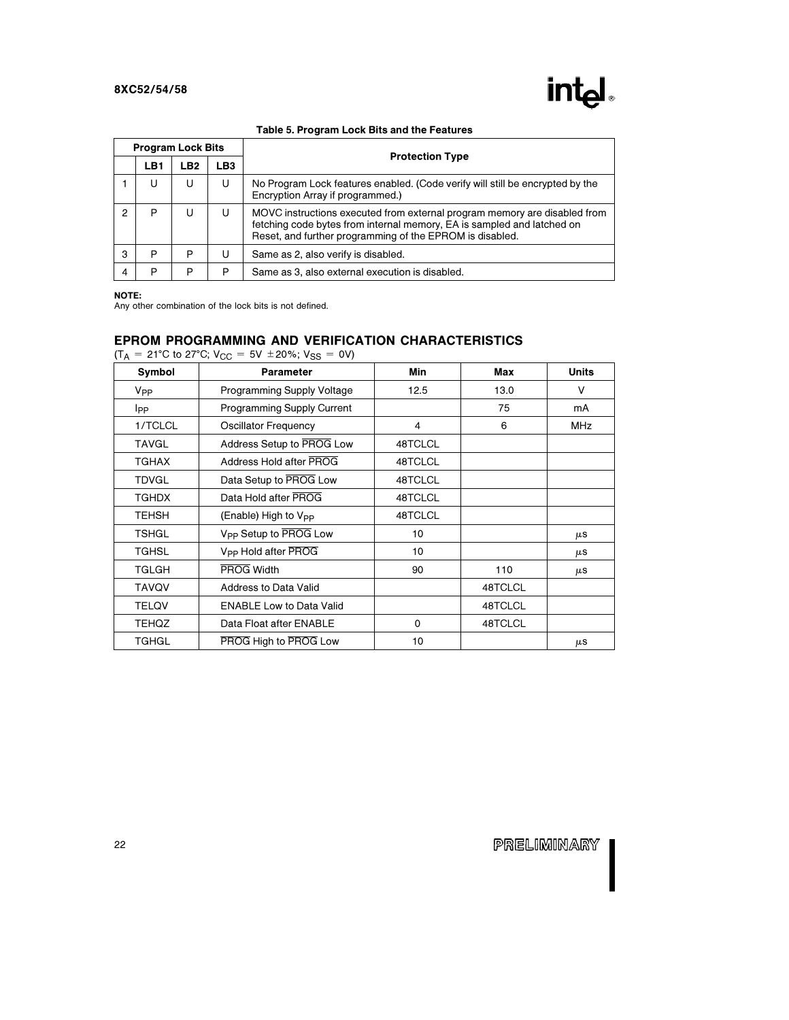|   | <b>Program Lock Bits</b> |     |                 |                                                                                                                                                                                                                 |  |  |  |  |  |  |
|---|--------------------------|-----|-----------------|-----------------------------------------------------------------------------------------------------------------------------------------------------------------------------------------------------------------|--|--|--|--|--|--|
|   | LB <sub>1</sub>          | LB2 | LB <sub>3</sub> | <b>Protection Type</b>                                                                                                                                                                                          |  |  |  |  |  |  |
|   | U                        | U   | U               | No Program Lock features enabled. (Code verify will still be encrypted by the<br>Encryption Array if programmed.)                                                                                               |  |  |  |  |  |  |
|   | P                        | U   | U               | MOVC instructions executed from external program memory are disabled from<br>fetching code bytes from internal memory, EA is sampled and latched on<br>Reset, and further programming of the EPROM is disabled. |  |  |  |  |  |  |
| з | P                        | P   | U               | Same as 2, also verify is disabled.                                                                                                                                                                             |  |  |  |  |  |  |
|   | P                        | P   | P               | Same as 3, also external execution is disabled.                                                                                                                                                                 |  |  |  |  |  |  |

#### NOTE:

Any other combination of the lock bits is not defined.

### EPROM PROGRAMMING AND VERIFICATION CHARACTERISTICS

 $(T_A = 21^{\circ}$ C to 27°C;  $V_{CC} = 5V \pm 20\%$ ;  $V_{SS} = 0V$ )

| Symbol          | <b>Parameter</b>                  | Min      | Max     | <b>Units</b> |
|-----------------|-----------------------------------|----------|---------|--------------|
| V <sub>PP</sub> | <b>Programming Supply Voltage</b> | 12.5     | 13.0    | V            |
| <b>I</b> pp     | Programming Supply Current        |          | 75      | mA           |
| 1/TCLCL         | <b>Oscillator Frequency</b>       | 4        | 6       | <b>MHz</b>   |
| TAVGL           | Address Setup to PROG Low         | 48TCLCL  |         |              |
| <b>TGHAX</b>    | Address Hold after PROG           | 48TCLCL  |         |              |
| <b>TDVGL</b>    | Data Setup to PROG Low            | 48TCLCL  |         |              |
| <b>TGHDX</b>    | Data Hold after PROG              | 48TCLCL  |         |              |
| TEHSH           | (Enable) High to V <sub>PP</sub>  | 48TCLCL  |         |              |
| <b>TSHGL</b>    | V <sub>PP</sub> Setup to PROG Low | 10       |         | μS           |
| <b>TGHSL</b>    | V <sub>PP</sub> Hold after PROG   | 10       |         | μS           |
| TGLGH           | PROG Width                        | 90       | 110     | μS           |
| <b>TAVQV</b>    | <b>Address to Data Valid</b>      |          | 48TCLCL |              |
| <b>TELOV</b>    | <b>ENABLE Low to Data Valid</b>   |          | 48TCLCL |              |
| <b>TEHQZ</b>    | Data Float after ENABLE           | $\Omega$ | 48TCLCL |              |
| TGHGL           | PROG High to PROG Low             | 10       |         | μS           |